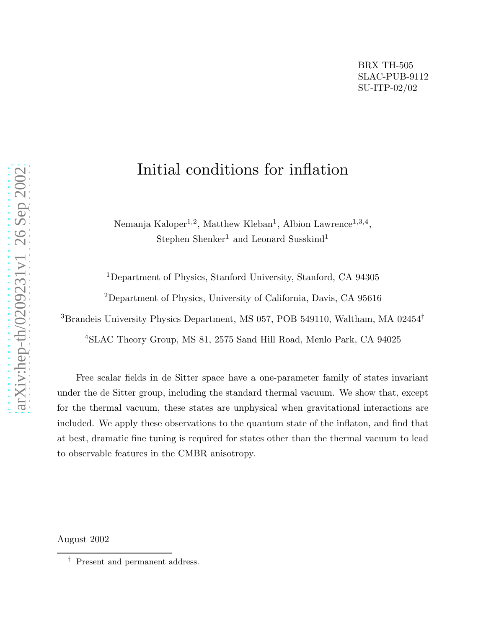# Initial conditions for inflation

Nemanja Kaloper<sup>1,2</sup>, Matthew Kleban<sup>1</sup>, Albion Lawrence<sup>1,3,4</sup>, Stephen Shenker<sup>1</sup> and Leonard Susskind<sup>1</sup>

<sup>1</sup>Department of Physics, Stanford University, Stanford, CA 94305

<sup>2</sup>Department of Physics, University of California, Davis, CA 95616

 ${}^{3}$ Brandeis University Physics Department, MS 057, POB 549110, Waltham, MA 02454<sup>†</sup>

<sup>4</sup>SLAC Theory Group, MS 81, 2575 Sand Hill Road, Menlo Park, CA 94025

Free scalar fields in de Sitter space have a one-parameter family of states invariant under the de Sitter group, including the standard thermal vacuum. We show that, except for the thermal vacuum, these states are unphysical when gravitational interactions are included. We apply these observations to the quantum state of the inflaton, and find that at best, dramatic fine tuning is required for states other than the thermal vacuum to lead to observable features in the CMBR anisotropy.

August 2002

<sup>†</sup> Present and permanent address.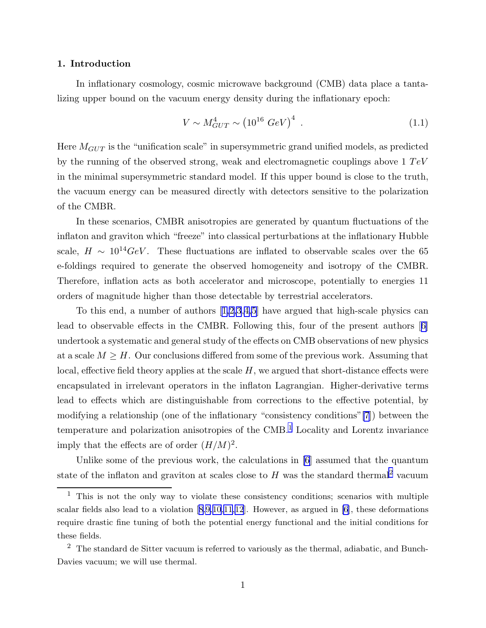## 1. Introduction

In inflationary cosmology, cosmic microwave background (CMB) data place a tantalizing upper bound on the vacuum energy density during the inflationary epoch:

$$
V \sim M_{GUT}^4 \sim (10^{16} \; GeV)^4 \; . \tag{1.1}
$$

Here  $M_{GUT}$  is the "unification scale" in supersymmetric grand unified models, as predicted by the running of the observed strong, weak and electromagnetic couplings above  $1 TeV$ in the minimal supersymmetric standard model. If this upper bound is close to the truth, the vacuum energy can be measured directly with detectors sensitive to the polarization of the CMBR.

In these scenarios, CMBR anisotropies are generated by quantum fluctuations of the inflaton and graviton which "freeze" into classical perturbations at the inflationary Hubble scale,  $H \sim 10^{14} \text{GeV}$ . These fluctuations are inflated to observable scales over the 65 e-foldings required to generate the observed homogeneity and isotropy of the CMBR. Therefore, inflation acts as both accelerator and microscope, potentially to energies 11 orders of magnitude higher than those detectable by terrestrial accelerators.

To this end, a number of authors[[1,2,3](#page-28-0),[4,5](#page-28-0)] have argued that high-scale physics can lead to observable effects in the CMBR. Following this, four of the present authors[[6\]](#page-28-0) undertook a systematic and general study of the effects on CMB observations of new physics at a scale  $M \geq H$ . Our conclusions differed from some of the previous work. Assuming that local, effective field theory applies at the scale  $H$ , we argued that short-distance effects were encapsulated in irrelevant operators in the inflaton Lagrangian. Higher-derivative terms lead to effects which are distinguishable from corrections to the effective potential, by modifying a relationship (one of the inflationary "consistency conditions"[\[7](#page-28-0)]) between the temperature and polarization anisotropies of the  $CMB<sup>1</sup>$  Locality and Lorentz invariance imply that the effects are of order  $(H/M)^2$ .

Unlike some of the previous work, the calculations in [\[6](#page-28-0)] assumed that the quantum state of the inflaton and graviton at scales close to  $H$  was the standard thermal<sup>2</sup> vacuum

<sup>&</sup>lt;sup>1</sup> This is not the only way to violate these consistency conditions; scenarios with multiple scalar fields also lead to a violation[[8,9,10,](#page-28-0)[11,12](#page-29-0)]. However, as argued in [\[6\]](#page-28-0), these deformations require drastic fine tuning of both the potential energy functional and the initial conditions for these fields.

 $2$  The standard de Sitter vacuum is referred to variously as the thermal, adiabatic, and Bunch-Davies vacuum; we will use thermal.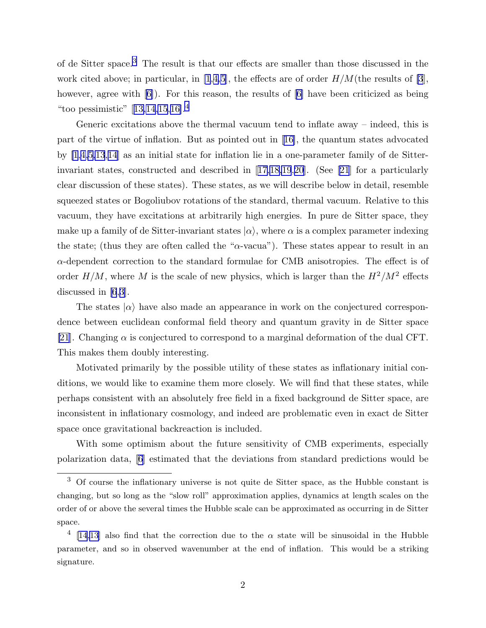of de Sitter space.<sup>3</sup> The result is that our effects are smaller than those discussed in the work cited above; in particular, in [\[1](#page-28-0),[4,5](#page-28-0)], the effects are of order  $H/M$ (the results of [\[3](#page-28-0)], however,agree with [[6\]](#page-28-0)). For this reason, the results of [6] have been criticized as being "toopessimistic"  $[13, 14, 15, 16]$  $[13, 14, 15, 16]$ .<sup>4</sup>

Generic excitations above the thermal vacuum tend to inflate away – indeed, this is part of the virtue of inflation. But as pointed out in[[16\]](#page-29-0), the quantum states advocated by [\[1](#page-28-0),[4,5](#page-28-0)[,13](#page-29-0),[14\]](#page-29-0) as an initial state for inflation lie in a one-parameter family of de Sitterinvariant states, constructed and described in[[17,18,19](#page-29-0),[20\]](#page-29-0). (See [\[21](#page-29-0)] for a particularly clear discussion of these states). These states, as we will describe below in detail, resemble squeezed states or Bogoliubov rotations of the standard, thermal vacuum. Relative to this vacuum, they have excitations at arbitrarily high energies. In pure de Sitter space, they make up a family of de Sitter-invariant states  $|\alpha\rangle$ , where  $\alpha$  is a complex parameter indexing the state; (thus they are often called the "α-vacua"). These states appear to result in an  $\alpha$ -dependent correction to the standard formulae for CMB anisotropies. The effect is of order  $H/M$ , where M is the scale of new physics, which is larger than the  $H^2/M^2$  effects discussed in [\[6](#page-28-0),[3\]](#page-28-0).

The states  $|\alpha\rangle$  have also made an appearance in work on the conjectured correspondence between euclidean conformal field theory and quantum gravity in de Sitter space [\[21](#page-29-0)]. Changing  $\alpha$  is conjectured to correspond to a marginal deformation of the dual CFT. This makes them doubly interesting.

Motivated primarily by the possible utility of these states as inflationary initial conditions, we would like to examine them more closely. We will find that these states, while perhaps consistent with an absolutely free field in a fixed background de Sitter space, are inconsistent in inflationary cosmology, and indeed are problematic even in exact de Sitter space once gravitational backreaction is included.

With some optimism about the future sensitivity of CMB experiments, especially polarization data, [\[6](#page-28-0)] estimated that the deviations from standard predictions would be

<sup>&</sup>lt;sup>3</sup> Of course the inflationary universe is not quite de Sitter space, as the Hubble constant is changing, but so long as the "slow roll" approximation applies, dynamics at length scales on the order of or above the several times the Hubble scale can be approximated as occurring in de Sitter space.

<sup>&</sup>lt;sup>4</sup> [[14,13](#page-29-0)] also find that the correction due to the  $\alpha$  state will be sinusoidal in the Hubble parameter, and so in observed wavenumber at the end of inflation. This would be a striking signature.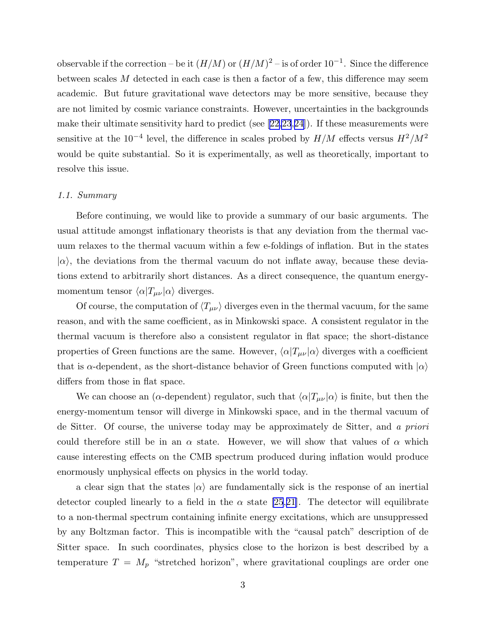observable if the correction – be it  $(H/M)$  or  $(H/M)^2$  – is of order  $10^{-1}$ . Since the difference between scales  $M$  detected in each case is then a factor of a few, this difference may seem academic. But future gravitational wave detectors may be more sensitive, because they are not limited by cosmic variance constraints. However, uncertainties in the backgrounds make their ultimate sensitivity hard to predict (see [\[22,23](#page-29-0),[24\]](#page-29-0)). If these measurements were sensitive at the 10<sup>-4</sup> level, the difference in scales probed by  $H/M$  effects versus  $H^2/M^2$ would be quite substantial. So it is experimentally, as well as theoretically, important to resolve this issue.

## 1.1. Summary

Before continuing, we would like to provide a summary of our basic arguments. The usual attitude amongst inflationary theorists is that any deviation from the thermal vacuum relaxes to the thermal vacuum within a few e-foldings of inflation. But in the states  $|\alpha\rangle$ , the deviations from the thermal vacuum do not inflate away, because these deviations extend to arbitrarily short distances. As a direct consequence, the quantum energymomentum tensor  $\langle \alpha | T_{\mu\nu} | \alpha \rangle$  diverges.

Of course, the computation of  $\langle T_{\mu\nu} \rangle$  diverges even in the thermal vacuum, for the same reason, and with the same coefficient, as in Minkowski space. A consistent regulator in the thermal vacuum is therefore also a consistent regulator in flat space; the short-distance properties of Green functions are the same. However,  $\langle \alpha | T_{\mu\nu} | \alpha \rangle$  diverges with a coefficient that is  $\alpha$ -dependent, as the short-distance behavior of Green functions computed with  $|\alpha\rangle$ differs from those in flat space.

We can choose an ( $\alpha$ -dependent) regulator, such that  $\langle \alpha | T_{\mu\nu} | \alpha \rangle$  is finite, but then the energy-momentum tensor will diverge in Minkowski space, and in the thermal vacuum of de Sitter. Of course, the universe today may be approximately de Sitter, and a priori could therefore still be in an  $\alpha$  state. However, we will show that values of  $\alpha$  which cause interesting effects on the CMB spectrum produced during inflation would produce enormously unphysical effects on physics in the world today.

a clear sign that the states  $|\alpha\rangle$  are fundamentally sick is the response of an inertial detector coupled linearly to a field in the  $\alpha$  state [\[25](#page-29-0),[21\]](#page-29-0). The detector will equilibrate to a non-thermal spectrum containing infinite energy excitations, which are unsuppressed by any Boltzman factor. This is incompatible with the "causal patch" description of de Sitter space. In such coordinates, physics close to the horizon is best described by a temperature  $T = M_p$  "stretched horizon", where gravitational couplings are order one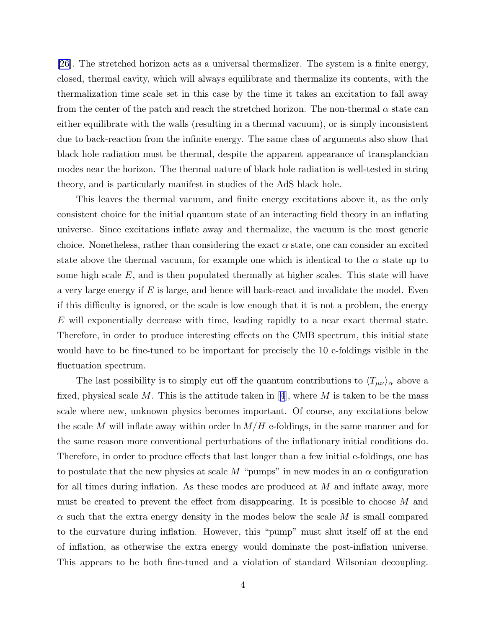[\[26](#page-30-0)]. The stretched horizon acts as a universal thermalizer. The system is a finite energy, closed, thermal cavity, which will always equilibrate and thermalize its contents, with the thermalization time scale set in this case by the time it takes an excitation to fall away from the center of the patch and reach the stretched horizon. The non-thermal  $\alpha$  state can either equilibrate with the walls (resulting in a thermal vacuum), or is simply inconsistent due to back-reaction from the infinite energy. The same class of arguments also show that black hole radiation must be thermal, despite the apparent appearance of transplanckian modes near the horizon. The thermal nature of black hole radiation is well-tested in string theory, and is particularly manifest in studies of the AdS black hole.

This leaves the thermal vacuum, and finite energy excitations above it, as the only consistent choice for the initial quantum state of an interacting field theory in an inflating universe. Since excitations inflate away and thermalize, the vacuum is the most generic choice. Nonetheless, rather than considering the exact  $\alpha$  state, one can consider an excited state above the thermal vacuum, for example one which is identical to the  $\alpha$  state up to some high scale  $E$ , and is then populated thermally at higher scales. This state will have a very large energy if  $E$  is large, and hence will back-react and invalidate the model. Even if this difficulty is ignored, or the scale is low enough that it is not a problem, the energy E will exponentially decrease with time, leading rapidly to a near exact thermal state. Therefore, in order to produce interesting effects on the CMB spectrum, this initial state would have to be fine-tuned to be important for precisely the 10 e-foldings visible in the fluctuation spectrum.

The last possibility is to simply cut off the quantum contributions to  $\langle T_{\mu\nu} \rangle_{\alpha}$  above a fixed,physical scale M. This is the attitude taken in [[4](#page-28-0)], where M is taken to be the mass scale where new, unknown physics becomes important. Of course, any excitations below the scale M will inflate away within order  $\ln M/H$  e-foldings, in the same manner and for the same reason more conventional perturbations of the inflationary initial conditions do. Therefore, in order to produce effects that last longer than a few initial e-foldings, one has to postulate that the new physics at scale M "pumps" in new modes in an  $\alpha$  configuration for all times during inflation. As these modes are produced at  $M$  and inflate away, more must be created to prevent the effect from disappearing. It is possible to choose M and  $\alpha$  such that the extra energy density in the modes below the scale M is small compared to the curvature during inflation. However, this "pump" must shut itself off at the end of inflation, as otherwise the extra energy would dominate the post-inflation universe. This appears to be both fine-tuned and a violation of standard Wilsonian decoupling.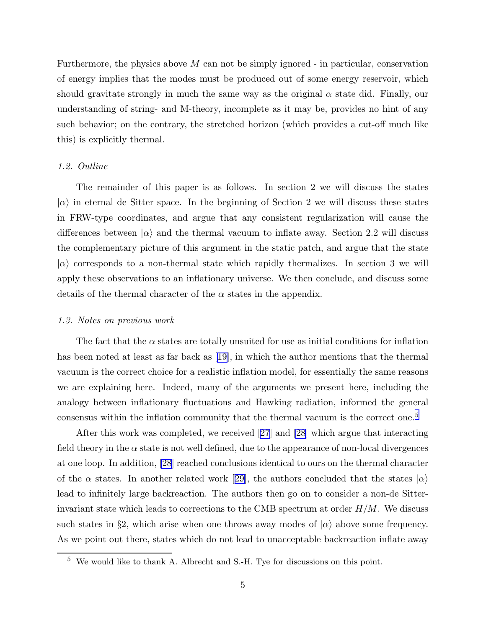Furthermore, the physics above  $M$  can not be simply ignored - in particular, conservation of energy implies that the modes must be produced out of some energy reservoir, which should gravitate strongly in much the same way as the original  $\alpha$  state did. Finally, our understanding of string- and M-theory, incomplete as it may be, provides no hint of any such behavior; on the contrary, the stretched horizon (which provides a cut-off much like this) is explicitly thermal.

## 1.2. Outline

The remainder of this paper is as follows. In section 2 we will discuss the states  $|\alpha\rangle$  in eternal de Sitter space. In the beginning of Section 2 we will discuss these states in FRW-type coordinates, and argue that any consistent regularization will cause the differences between  $|\alpha\rangle$  and the thermal vacuum to inflate away. Section 2.2 will discuss the complementary picture of this argument in the static patch, and argue that the state  $|\alpha\rangle$  corresponds to a non-thermal state which rapidly thermalizes. In section 3 we will apply these observations to an inflationary universe. We then conclude, and discuss some details of the thermal character of the  $\alpha$  states in the appendix.

#### 1.3. Notes on previous work

The fact that the  $\alpha$  states are totally unsuited for use as initial conditions for inflation has been noted at least as far back as [\[19](#page-29-0)], in which the author mentions that the thermal vacuum is the correct choice for a realistic inflation model, for essentially the same reasons we are explaining here. Indeed, many of the arguments we present here, including the analogy between inflationary fluctuations and Hawking radiation, informed the general consensus within the inflation community that the thermal vacuum is the correct one.<sup>5</sup>

After this work was completed, we received[[27\]](#page-30-0) and [\[28](#page-30-0)] which argue that interacting field theory in the  $\alpha$  state is not well defined, due to the appearance of non-local divergences at one loop. In addition, [\[28](#page-30-0)] reached conclusions identical to ours on the thermal character ofthe  $\alpha$  states. In another related work [[29\]](#page-30-0), the authors concluded that the states  $|\alpha\rangle$ lead to infinitely large backreaction. The authors then go on to consider a non-de Sitterinvariant state which leads to corrections to the CMB spectrum at order  $H/M$ . We discuss such states in §2, which arise when one throws away modes of  $|\alpha\rangle$  above some frequency. As we point out there, states which do not lead to unacceptable backreaction inflate away

 $5$  We would like to thank A. Albrecht and S.-H. Tye for discussions on this point.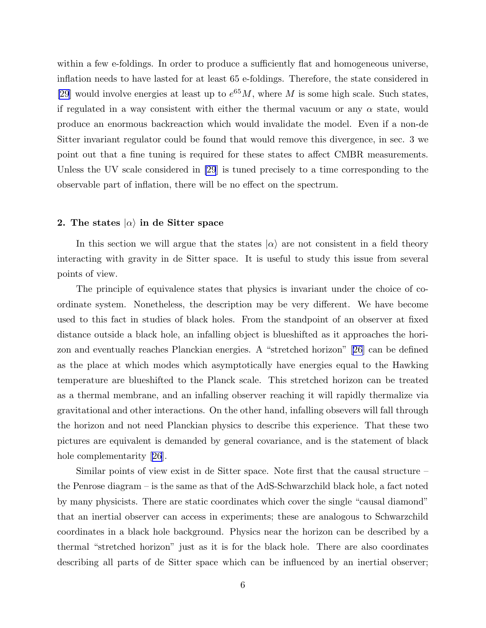within a few e-foldings. In order to produce a sufficiently flat and homogeneous universe, inflation needs to have lasted for at least 65 e-foldings. Therefore, the state considered in [\[29](#page-30-0)] would involve energies at least up to  $e^{65}M$ , where M is some high scale. Such states, if regulated in a way consistent with either the thermal vacuum or any  $\alpha$  state, would produce an enormous backreaction which would invalidate the model. Even if a non-de Sitter invariant regulator could be found that would remove this divergence, in sec. 3 we point out that a fine tuning is required for these states to affect CMBR measurements. Unless the UV scale considered in [\[29](#page-30-0)] is tuned precisely to a time corresponding to the observable part of inflation, there will be no effect on the spectrum.

## 2. The states  $|\alpha\rangle$  in de Sitter space

In this section we will argue that the states  $|\alpha\rangle$  are not consistent in a field theory interacting with gravity in de Sitter space. It is useful to study this issue from several points of view.

The principle of equivalence states that physics is invariant under the choice of coordinate system. Nonetheless, the description may be very different. We have become used to this fact in studies of black holes. From the standpoint of an observer at fixed distance outside a black hole, an infalling object is blueshifted as it approaches the horizon and eventually reaches Planckian energies. A "stretched horizon"[[26\]](#page-30-0) can be defined as the place at which modes which asymptotically have energies equal to the Hawking temperature are blueshifted to the Planck scale. This stretched horizon can be treated as a thermal membrane, and an infalling observer reaching it will rapidly thermalize via gravitational and other interactions. On the other hand, infalling obsevers will fall through the horizon and not need Planckian physics to describe this experience. That these two pictures are equivalent is demanded by general covariance, and is the statement of black holecomplementarity  $|26|$ .

Similar points of view exist in de Sitter space. Note first that the causal structure  $$ the Penrose diagram – is the same as that of the AdS-Schwarzchild black hole, a fact noted by many physicists. There are static coordinates which cover the single "causal diamond" that an inertial observer can access in experiments; these are analogous to Schwarzchild coordinates in a black hole background. Physics near the horizon can be described by a thermal "stretched horizon" just as it is for the black hole. There are also coordinates describing all parts of de Sitter space which can be influenced by an inertial observer;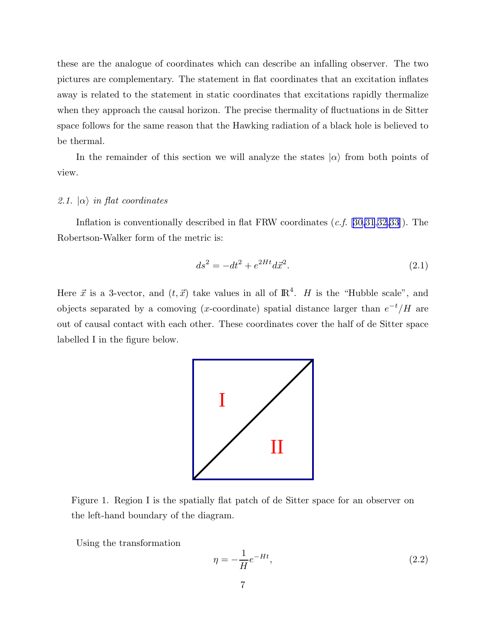these are the analogue of coordinates which can describe an infalling observer. The two pictures are complementary. The statement in flat coordinates that an excitation inflates away is related to the statement in static coordinates that excitations rapidly thermalize when they approach the causal horizon. The precise thermality of fluctuations in de Sitter space follows for the same reason that the Hawking radiation of a black hole is believed to be thermal.

In the remainder of this section we will analyze the states  $|\alpha\rangle$  from both points of view.

## 2.1.  $|\alpha\rangle$  in flat coordinates

Inflation is conventionally described in flat FRW coordinates  $(c.f. [30,31,32,33])$  $(c.f. [30,31,32,33])$  $(c.f. [30,31,32,33])$  $(c.f. [30,31,32,33])$  $(c.f. [30,31,32,33])$ . The Robertson-Walker form of the metric is:

$$
ds^2 = -dt^2 + e^{2Ht} d\vec{x}^2.
$$
 (2.1)

Here  $\vec{x}$  is a 3-vector, and  $(t, \vec{x})$  take values in all of  $\mathbb{R}^4$ . H is the "Hubble scale", and objects separated by a comoving (x-coordinate) spatial distance larger than  $e^{-t}/H$  are out of causal contact with each other. These coordinates cover the half of de Sitter space labelled I in the figure below.



Figure 1. Region I is the spatially flat patch of de Sitter space for an observer on the left-hand boundary of the diagram.

Using the transformation

$$
\eta = -\frac{1}{H}e^{-Ht},\tag{2.2}
$$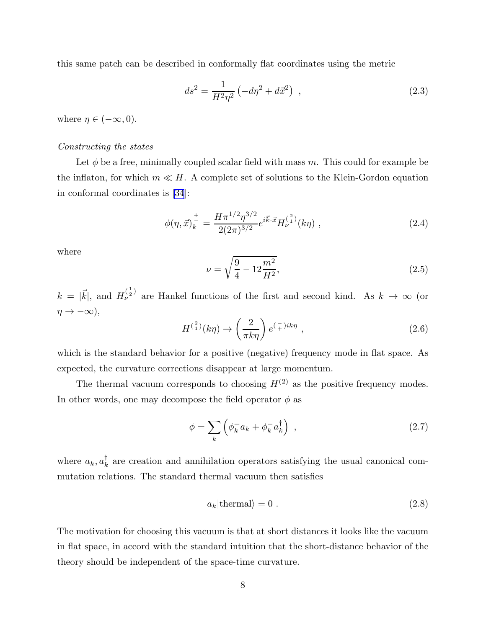<span id="page-8-0"></span>this same patch can be described in conformally flat coordinates using the metric

$$
ds^2 = \frac{1}{H^2 \eta^2} \left( -d\eta^2 + d\vec{x}^2 \right) , \qquad (2.3)
$$

where  $\eta \in (-\infty, 0)$ .

# Constructing the states

Let  $\phi$  be a free, minimally coupled scalar field with mass m. This could for example be the inflaton, for which  $m \ll H$ . A complete set of solutions to the Klein-Gordon equation in conformal coordinates is [\[34](#page-30-0)]:

$$
\phi(\eta, \vec{x})_{k}^{\dagger} = \frac{H\pi^{1/2}\eta^{3/2}}{2(2\pi)^{3/2}} e^{i\vec{k}\cdot\vec{x}} H_{\nu}^{(\frac{2}{1})}(k\eta) , \qquad (2.4)
$$

where

$$
\nu = \sqrt{\frac{9}{4} - 12 \frac{m^2}{H^2}},\tag{2.5}
$$

 $k = |\vec{k}|$ , and  $H_{\nu}^{(\frac{1}{2})}$  are Hankel functions of the first and second kind. As  $k \to \infty$  (or  $\eta \to -\infty$ ),

$$
H^{(\frac{2}{1})}(k\eta) \to \left(\frac{2}{\pi k\eta}\right) e^{(\frac{-}{+})ik\eta} , \qquad (2.6)
$$

which is the standard behavior for a positive (negative) frequency mode in flat space. As expected, the curvature corrections disappear at large momentum.

The thermal vacuum corresponds to choosing  $H^{(2)}$  as the positive frequency modes. In other words, one may decompose the field operator  $\phi$  as

$$
\phi = \sum_{k} \left( \phi_k^+ a_k + \phi_k^- a_k^{\dagger} \right) , \qquad (2.7)
$$

where  $a_k, a_k^{\dagger}$  $\frac{1}{k}$  are creation and annihilation operators satisfying the usual canonical commutation relations. The standard thermal vacuum then satisfies

$$
a_k | \text{thermal} \rangle = 0 \tag{2.8}
$$

The motivation for choosing this vacuum is that at short distances it looks like the vacuum in flat space, in accord with the standard intuition that the short-distance behavior of the theory should be independent of the space-time curvature.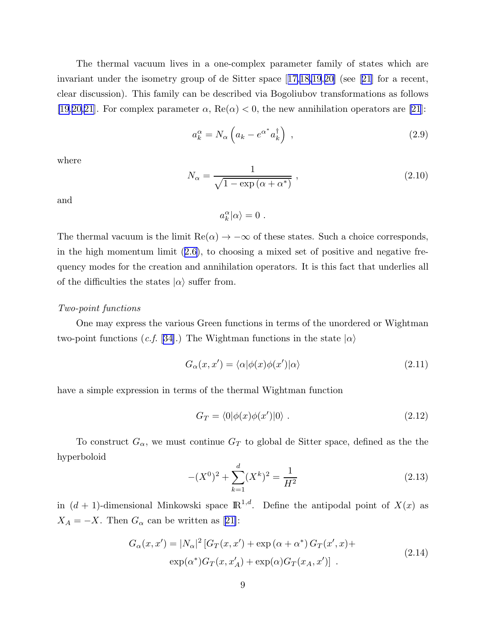<span id="page-9-0"></span>The thermal vacuum lives in a one-complex parameter family of states which are invariant under the isometry group of de Sitter space[[17,18,19](#page-29-0),[20\]](#page-29-0) (see[[21](#page-29-0)] for a recent, clear discussion). This family can be described via Bogoliubov transformations as follows [\[19](#page-29-0),[20,21](#page-29-0)]. For complex parameter  $\alpha$ , Re( $\alpha$ ) < 0, the new annihilation operators are [\[21](#page-29-0)]:

$$
a_k^{\alpha} = N_{\alpha} \left( a_k - e^{\alpha^*} a_k^{\dagger} \right) , \qquad (2.9)
$$

where

$$
N_{\alpha} = \frac{1}{\sqrt{1 - \exp\left(\alpha + \alpha^*\right)}}\,,\tag{2.10}
$$

and

 $a_k^{\alpha} |\alpha\rangle = 0$ .

The thermal vacuum is the limit  $\text{Re}(\alpha) \to -\infty$  of these states. Such a choice corresponds, in the high momentum limit([2.6\)](#page-8-0), to choosing a mixed set of positive and negative frequency modes for the creation and annihilation operators. It is this fact that underlies all of the difficulties the states  $|\alpha\rangle$  suffer from.

#### Two-point functions

One may express the various Green functions in terms of the unordered or Wightman two-point functions (c.f. [[34\]](#page-30-0).) The Wightman functions in the state  $|\alpha\rangle$ 

$$
G_{\alpha}(x, x') = \langle \alpha | \phi(x) \phi(x') | \alpha \rangle \tag{2.11}
$$

have a simple expression in terms of the thermal Wightman function

$$
G_T = \langle 0 | \phi(x)\phi(x') | 0 \rangle . \tag{2.12}
$$

To construct  $G_{\alpha}$ , we must continue  $G_T$  to global de Sitter space, defined as the the hyperboloid

$$
-(X^{0})^{2} + \sum_{k=1}^{d} (X^{k})^{2} = \frac{1}{H^{2}}
$$
\n(2.13)

in  $(d + 1)$ -dimensional Minkowski space  $\mathbb{R}^{1,d}$ . Define the antipodal point of  $X(x)$  as  $X_A = -X$  $X_A = -X$  $X_A = -X$ . Then  $G_\alpha$  can be written as [[21\]](#page-29-0):

$$
G_{\alpha}(x, x') = |N_{\alpha}|^{2} \left[ G_{T}(x, x') + \exp(\alpha + \alpha^{*}) G_{T}(x', x) + \exp(\alpha^{*}) G_{T}(x, x'_{A}) + \exp(\alpha) G_{T}(x_{A}, x') \right].
$$
\n(2.14)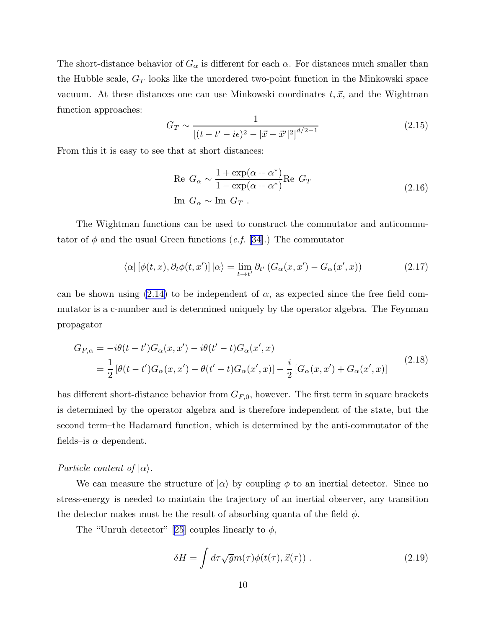The short-distance behavior of  $G_{\alpha}$  is different for each  $\alpha$ . For distances much smaller than the Hubble scale,  $G_T$  looks like the unordered two-point function in the Minkowski space vacuum. At these distances one can use Minkowski coordinates  $t, \vec{x}$ , and the Wightman function approaches:

$$
G_T \sim \frac{1}{\left[ (t - t' - i\epsilon)^2 - |\vec{x} - \vec{x}'|^2 \right]^{d/2 - 1}}\tag{2.15}
$$

From this it is easy to see that at short distances:

Re 
$$
G_{\alpha} \sim \frac{1 + \exp(\alpha + \alpha^*)}{1 - \exp(\alpha + \alpha^*)}
$$
Re  $G_T$   
Im  $G_{\alpha} \sim$  Im  $G_T$ . (2.16)

The Wightman functions can be used to construct the commutator and anticommutator of  $\phi$  and the usual Green functions (*c.f.* [\[34](#page-30-0)].) The commutator

$$
\langle \alpha | \left[ \phi(t, x), \partial_t \phi(t, x') \right] | \alpha \rangle = \lim_{t \to t'} \partial_{t'} \left( G_{\alpha}(x, x') - G_{\alpha}(x', x) \right) \tag{2.17}
$$

can be shown using [\(2.14\)](#page-9-0) to be independent of  $\alpha$ , as expected since the free field commutator is a c-number and is determined uniquely by the operator algebra. The Feynman propagator

$$
G_{F,\alpha} = -i\theta(t - t')G_{\alpha}(x, x') - i\theta(t' - t)G_{\alpha}(x', x)
$$
  
= 
$$
\frac{1}{2} [\theta(t - t')G_{\alpha}(x, x') - \theta(t' - t)G_{\alpha}(x', x)] - \frac{i}{2} [G_{\alpha}(x, x') + G_{\alpha}(x', x)]
$$
(2.18)

has different short-distance behavior from  $G_{F,0}$ , however. The first term in square brackets is determined by the operator algebra and is therefore independent of the state, but the second term–the Hadamard function, which is determined by the anti-commutator of the fields–is  $\alpha$  dependent.

# Particle content of  $|\alpha\rangle$ .

We can measure the structure of  $|\alpha\rangle$  by coupling  $\phi$  to an inertial detector. Since no stress-energy is needed to maintain the trajectory of an inertial observer, any transition the detector makes must be the result of absorbing quanta of the field  $\phi$ .

The"Unruh detector" [[25\]](#page-29-0) couples linearly to  $\phi$ ,

$$
\delta H = \int d\tau \sqrt{g} m(\tau) \phi(t(\tau), \vec{x}(\tau)) . \qquad (2.19)
$$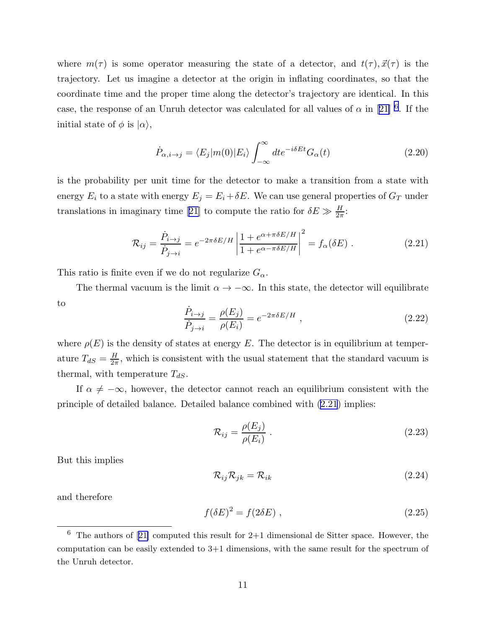<span id="page-11-0"></span>where  $m(\tau)$  is some operator measuring the state of a detector, and  $t(\tau)$ ,  $\vec{x}(\tau)$  is the trajectory. Let us imagine a detector at the origin in inflating coordinates, so that the coordinate time and the proper time along the detector's trajectory are identical. In this case,the response of an Unruh detector was calculated for all values of  $\alpha$  in [[21\]](#page-29-0) <sup>6</sup>. If the initial state of  $\phi$  is  $|\alpha\rangle$ ,

$$
\dot{P}_{\alpha,i\to j} = \langle E_j | m(0) | E_i \rangle \int_{-\infty}^{\infty} dt e^{-i\delta E t} G_{\alpha}(t)
$$
\n(2.20)

is the probability per unit time for the detector to make a transition from a state with energy  $E_i$  to a state with energy  $E_j = E_i + \delta E$ . We can use general properties of  $G_T$  under translationsin imaginary time [[21\]](#page-29-0) to compute the ratio for  $\delta E \gg \frac{H}{2\pi}$ :

$$
\mathcal{R}_{ij} = \frac{\dot{P}_{i \to j}}{\dot{P}_{j \to i}} = e^{-2\pi\delta E/H} \left| \frac{1 + e^{\alpha + \pi\delta E/H}}{1 + e^{\alpha - \pi\delta E/H}} \right|^2 = f_{\alpha}(\delta E) . \tag{2.21}
$$

This ratio is finite even if we do not regularize  $G_{\alpha}$ .

The thermal vacuum is the limit  $\alpha \to -\infty$ . In this state, the detector will equilibrate to

$$
\frac{\dot{P}_{i \to j}}{\dot{P}_{j \to i}} = \frac{\rho(E_j)}{\rho(E_i)} = e^{-2\pi\delta E/H} ,
$$
\n(2.22)

where  $\rho(E)$  is the density of states at energy E. The detector is in equilibrium at temperature  $T_{dS} = \frac{H}{2\pi}$  $\frac{H}{2\pi}$ , which is consistent with the usual statement that the standard vacuum is thermal, with temperature  $T_{dS}$ .

If  $\alpha \neq -\infty$ , however, the detector cannot reach an equilibrium consistent with the principle of detailed balance. Detailed balance combined with (2.21) implies:

$$
\mathcal{R}_{ij} = \frac{\rho(E_j)}{\rho(E_i)} \tag{2.23}
$$

But this implies

$$
\mathcal{R}_{ij}\mathcal{R}_{jk} = \mathcal{R}_{ik} \tag{2.24}
$$

and therefore

$$
f(\delta E)^2 = f(2\delta E) , \qquad (2.25)
$$

 $6$ The authors of [[21\]](#page-29-0) computed this result for 2+1 dimensional de Sitter space. However, the computation can be easily extended to 3+1 dimensions, with the same result for the spectrum of the Unruh detector.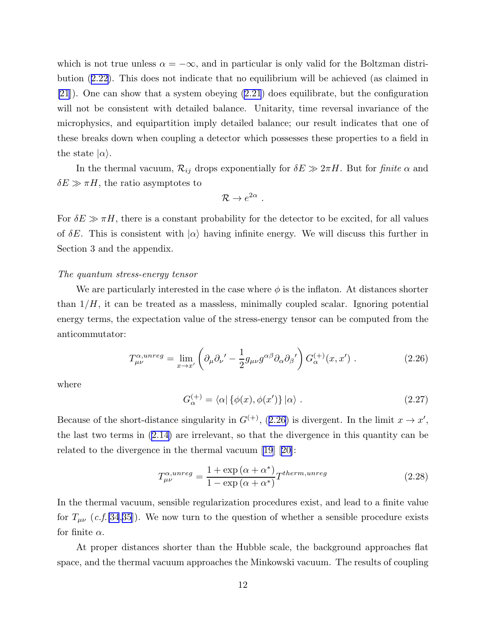<span id="page-12-0"></span>which is not true unless  $\alpha = -\infty$ , and in particular is only valid for the Boltzman distribution([2.22](#page-11-0)). This does not indicate that no equilibrium will be achieved (as claimed in [\[21](#page-29-0)]). One can show that a system obeying [\(2.21](#page-11-0)) does equilibrate, but the configuration will not be consistent with detailed balance. Unitarity, time reversal invariance of the microphysics, and equipartition imply detailed balance; our result indicates that one of these breaks down when coupling a detector which possesses these properties to a field in the state  $|\alpha\rangle$ .

In the thermal vacuum,  $\mathcal{R}_{ij}$  drops exponentially for  $\delta E \gg 2\pi H$ . But for finite  $\alpha$  and  $\delta E \gg \pi H$ , the ratio asymptotes to

$$
\mathcal{R} \to e^{2\alpha} .
$$

For  $\delta E \gg \pi H$ , there is a constant probability for the detector to be excited, for all values of  $\delta E$ . This is consistent with  $|\alpha\rangle$  having infinite energy. We will discuss this further in Section 3 and the appendix.

# The quantum stress-energy tensor

We are particularly interested in the case where  $\phi$  is the inflaton. At distances shorter than  $1/H$ , it can be treated as a massless, minimally coupled scalar. Ignoring potential energy terms, the expectation value of the stress-energy tensor can be computed from the anticommutator:

$$
T^{\alpha,unreg}_{\mu\nu} = \lim_{x \to x'} \left( \partial_{\mu} \partial_{\nu'} - \frac{1}{2} g_{\mu\nu} g^{\alpha\beta} \partial_{\alpha} \partial_{\beta'} \right) G^{(+)}_{\alpha}(x, x') . \tag{2.26}
$$

where

$$
G_{\alpha}^{(+)} = \langle \alpha | \{ \phi(x), \phi(x') \} | \alpha \rangle . \tag{2.27}
$$

Because of the short-distance singularity in  $G^{(+)}$ , (2.26) is divergent. In the limit  $x \to x'$ , the last two terms in [\(2.14\)](#page-9-0) are irrelevant, so that the divergence in this quantity can be related to the divergence in the thermal vacuum [\[19](#page-29-0)][[20\]](#page-29-0):

$$
T_{\mu\nu}^{\alpha,unreg} = \frac{1 + \exp\left(\alpha + \alpha^*\right)}{1 - \exp\left(\alpha + \alpha^*\right)} T^{therm,unreg}
$$
\n(2.28)

In the thermal vacuum, sensible regularization procedures exist, and lead to a finite value for  $T_{\mu\nu}$  (c.f.[\[34](#page-30-0),[35\]](#page-30-0)). We now turn to the question of whether a sensible procedure exists for finite  $\alpha$ .

At proper distances shorter than the Hubble scale, the background approaches flat space, and the thermal vacuum approaches the Minkowski vacuum. The results of coupling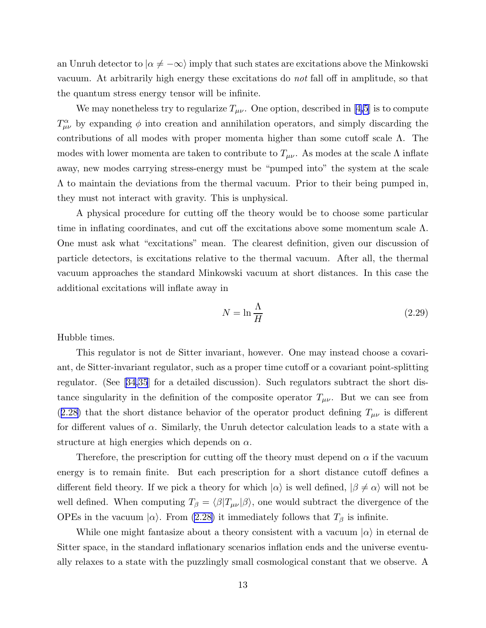<span id="page-13-0"></span>an Unruh detector to  $|\alpha \neq -\infty\rangle$  imply that such states are excitations above the Minkowski vacuum. At arbitrarily high energy these excitations do not fall off in amplitude, so that the quantum stress energy tensor will be infinite.

Wemay nonetheless try to regularize  $T_{\mu\nu}$ . One option, described in [[4,5](#page-28-0)] is to compute  $T^{\alpha}_{\mu\nu}$  by expanding  $\phi$  into creation and annihilation operators, and simply discarding the contributions of all modes with proper momenta higher than some cutoff scale  $\Lambda$ . The modes with lower momenta are taken to contribute to  $T_{\mu\nu}$ . As modes at the scale  $\Lambda$  inflate away, new modes carrying stress-energy must be "pumped into" the system at the scale  $\Lambda$  to maintain the deviations from the thermal vacuum. Prior to their being pumped in, they must not interact with gravity. This is unphysical.

A physical procedure for cutting off the theory would be to choose some particular time in inflating coordinates, and cut off the excitations above some momentum scale  $\Lambda$ . One must ask what "excitations" mean. The clearest definition, given our discussion of particle detectors, is excitations relative to the thermal vacuum. After all, the thermal vacuum approaches the standard Minkowski vacuum at short distances. In this case the additional excitations will inflate away in

$$
N = \ln \frac{\Lambda}{H}
$$
\n(2.29)

Hubble times.

This regulator is not de Sitter invariant, however. One may instead choose a covariant, de Sitter-invariant regulator, such as a proper time cutoff or a covariant point-splitting regulator. (See[[34,35](#page-30-0)] for a detailed discussion). Such regulators subtract the short distance singularity in the definition of the composite operator  $T_{\mu\nu}$ . But we can see from ([2.28](#page-12-0)) that the short distance behavior of the operator product defining  $T_{\mu\nu}$  is different for different values of  $\alpha$ . Similarly, the Unruh detector calculation leads to a state with a structure at high energies which depends on  $\alpha$ .

Therefore, the prescription for cutting off the theory must depend on  $\alpha$  if the vacuum energy is to remain finite. But each prescription for a short distance cutoff defines a different field theory. If we pick a theory for which  $|\alpha\rangle$  is well defined,  $|\beta \neq \alpha\rangle$  will not be well defined. When computing  $T_{\beta} = \langle \beta | T_{\mu\nu} | \beta \rangle$ , one would subtract the divergence of the OPEs in the vacuum  $|\alpha\rangle$ . From [\(2.28\)](#page-12-0) it immediately follows that  $T_\beta$  is infinite.

While one might fantasize about a theory consistent with a vacuum  $|\alpha\rangle$  in eternal de Sitter space, in the standard inflationary scenarios inflation ends and the universe eventually relaxes to a state with the puzzlingly small cosmological constant that we observe. A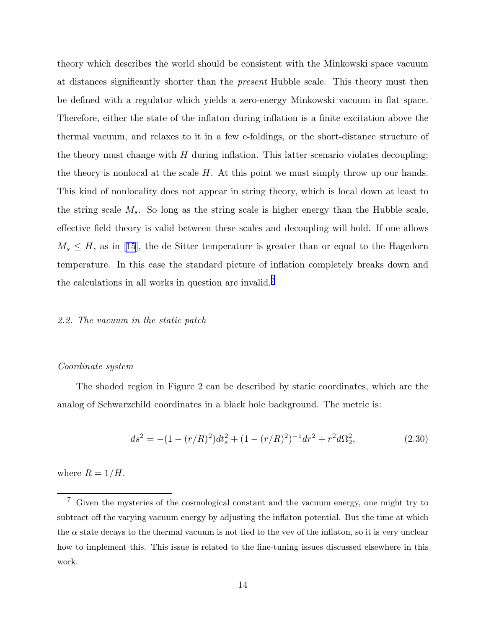<span id="page-14-0"></span>theory which describes the world should be consistent with the Minkowski space vacuum at distances significantly shorter than the present Hubble scale. This theory must then be defined with a regulator which yields a zero-energy Minkowski vacuum in flat space. Therefore, either the state of the inflaton during inflation is a finite excitation above the thermal vacuum, and relaxes to it in a few e-foldings, or the short-distance structure of the theory must change with  $H$  during inflation. This latter scenario violates decoupling; the theory is nonlocal at the scale  $H$ . At this point we must simply throw up our hands. This kind of nonlocality does not appear in string theory, which is local down at least to the string scale  $M_s$ . So long as the string scale is higher energy than the Hubble scale, effective field theory is valid between these scales and decoupling will hold. If one allows  $M_s \leq H$ , as in [\[15](#page-29-0)], the de Sitter temperature is greater than or equal to the Hagedorn temperature. In this case the standard picture of inflation completely breaks down and the calculations in all works in question are invalid.<sup>7</sup>

## 2.2. The vacuum in the static patch

#### Coordinate system

The shaded region in Figure 2 can be described by static coordinates, which are the analog of Schwarzchild coordinates in a black hole background. The metric is:

$$
ds^{2} = -(1 - (r/R)^{2})dt_{s}^{2} + (1 - (r/R)^{2})^{-1}dr^{2} + r^{2}d\Omega_{2}^{2},
$$
\n(2.30)

where  $R = 1/H$ .

<sup>7</sup> Given the mysteries of the cosmological constant and the vacuum energy, one might try to subtract off the varying vacuum energy by adjusting the inflaton potential. But the time at which the  $\alpha$  state decays to the thermal vacuum is not tied to the vev of the inflaton, so it is very unclear how to implement this. This issue is related to the fine-tuning issues discussed elsewhere in this work.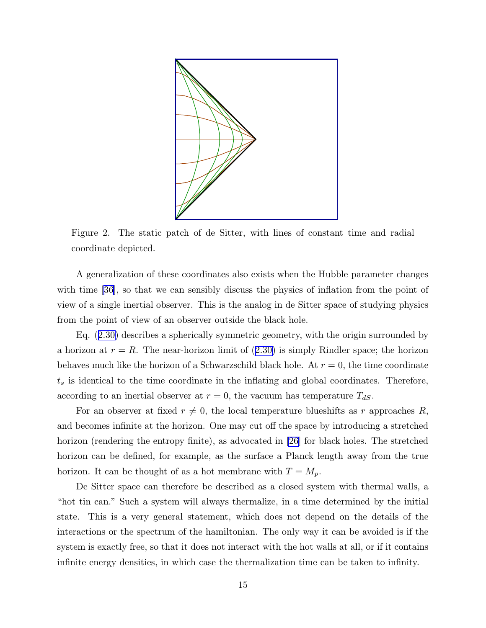

Figure 2. The static patch of de Sitter, with lines of constant time and radial coordinate depicted.

A generalization of these coordinates also exists when the Hubble parameter changes with time[[36](#page-30-0)], so that we can sensibly discuss the physics of inflation from the point of view of a single inertial observer. This is the analog in de Sitter space of studying physics from the point of view of an observer outside the black hole.

Eq.([2.30\)](#page-14-0) describes a spherically symmetric geometry, with the origin surrounded by ahorizon at  $r = R$ . The near-horizon limit of  $(2.30)$  $(2.30)$  is simply Rindler space; the horizon behaves much like the horizon of a Schwarzschild black hole. At  $r = 0$ , the time coordinate  $t<sub>s</sub>$  is identical to the time coordinate in the inflating and global coordinates. Therefore, according to an inertial observer at  $r = 0$ , the vacuum has temperature  $T_{dS}$ .

For an observer at fixed  $r \neq 0$ , the local temperature blueshifts as r approaches R, and becomes infinite at the horizon. One may cut off the space by introducing a stretched horizon (rendering the entropy finite), as advocated in [\[26](#page-30-0)] for black holes. The stretched horizon can be defined, for example, as the surface a Planck length away from the true horizon. It can be thought of as a hot membrane with  $T = M_p$ .

De Sitter space can therefore be described as a closed system with thermal walls, a "hot tin can." Such a system will always thermalize, in a time determined by the initial state. This is a very general statement, which does not depend on the details of the interactions or the spectrum of the hamiltonian. The only way it can be avoided is if the system is exactly free, so that it does not interact with the hot walls at all, or if it contains infinite energy densities, in which case the thermalization time can be taken to infinity.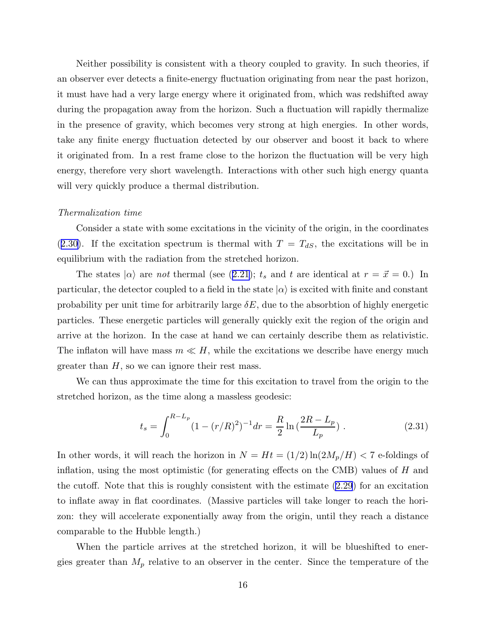Neither possibility is consistent with a theory coupled to gravity. In such theories, if an observer ever detects a finite-energy fluctuation originating from near the past horizon, it must have had a very large energy where it originated from, which was redshifted away during the propagation away from the horizon. Such a fluctuation will rapidly thermalize in the presence of gravity, which becomes very strong at high energies. In other words, take any finite energy fluctuation detected by our observer and boost it back to where it originated from. In a rest frame close to the horizon the fluctuation will be very high energy, therefore very short wavelength. Interactions with other such high energy quanta will very quickly produce a thermal distribution.

## Thermalization time

Consider a state with some excitations in the vicinity of the origin, in the coordinates ([2.30](#page-14-0)). If the excitation spectrum is thermal with  $T = T_{dS}$ , the excitations will be in equilibrium with the radiation from the stretched horizon.

Thestates  $|\alpha\rangle$  are not thermal (see ([2.21](#page-11-0));  $t_s$  and t are identical at  $r = \vec{x} = 0$ .) In particular, the detector coupled to a field in the state  $|\alpha\rangle$  is excited with finite and constant probability per unit time for arbitrarily large  $\delta E$ , due to the absorbtion of highly energetic particles. These energetic particles will generally quickly exit the region of the origin and arrive at the horizon. In the case at hand we can certainly describe them as relativistic. The inflaton will have mass  $m \ll H$ , while the excitations we describe have energy much greater than  $H$ , so we can ignore their rest mass.

We can thus approximate the time for this excitation to travel from the origin to the stretched horizon, as the time along a massless geodesic:

$$
t_s = \int_0^{R-L_p} (1 - (r/R)^2)^{-1} dr = \frac{R}{2} \ln\left(\frac{2R - L_p}{L_p}\right). \tag{2.31}
$$

In other words, it will reach the horizon in  $N = Ht = (1/2) \ln(2M_p/H) < 7$  e-foldings of inflation, using the most optimistic (for generating effects on the CMB) values of  $H$  and the cutoff. Note that this is roughly consistent with the estimate [\(2.29](#page-13-0)) for an excitation to inflate away in flat coordinates. (Massive particles will take longer to reach the horizon: they will accelerate exponentially away from the origin, until they reach a distance comparable to the Hubble length.)

When the particle arrives at the stretched horizon, it will be blueshifted to energies greater than  $M_p$  relative to an observer in the center. Since the temperature of the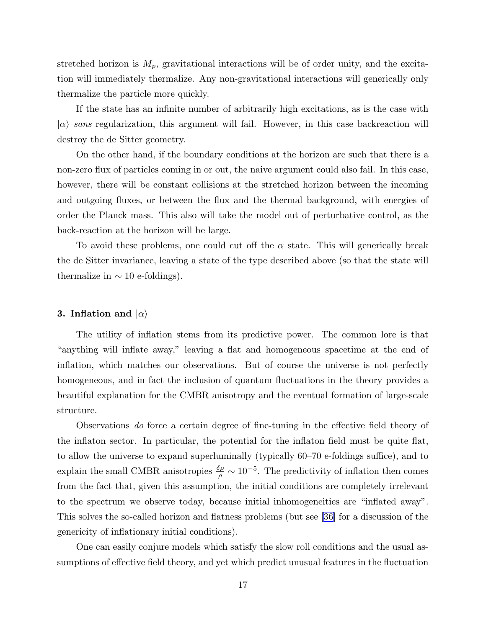stretched horizon is  $M_p$ , gravitational interactions will be of order unity, and the excitation will immediately thermalize. Any non-gravitational interactions will generically only thermalize the particle more quickly.

If the state has an infinite number of arbitrarily high excitations, as is the case with  $|\alpha\rangle$  sans regularization, this argument will fail. However, in this case backreaction will destroy the de Sitter geometry.

On the other hand, if the boundary conditions at the horizon are such that there is a non-zero flux of particles coming in or out, the naive argument could also fail. In this case, however, there will be constant collisions at the stretched horizon between the incoming and outgoing fluxes, or between the flux and the thermal background, with energies of order the Planck mass. This also will take the model out of perturbative control, as the back-reaction at the horizon will be large.

To avoid these problems, one could cut off the  $\alpha$  state. This will generically break the de Sitter invariance, leaving a state of the type described above (so that the state will thermalize in  $\sim$  10 e-foldings).

## 3. Inflation and  $|\alpha\rangle$

The utility of inflation stems from its predictive power. The common lore is that "anything will inflate away," leaving a flat and homogeneous spacetime at the end of inflation, which matches our observations. But of course the universe is not perfectly homogeneous, and in fact the inclusion of quantum fluctuations in the theory provides a beautiful explanation for the CMBR anisotropy and the eventual formation of large-scale structure.

Observations do force a certain degree of fine-tuning in the effective field theory of the inflaton sector. In particular, the potential for the inflaton field must be quite flat, to allow the universe to expand superluminally (typically 60–70 e-foldings suffice), and to explain the small CMBR anisotropies  $\frac{\delta \rho}{\rho} \sim 10^{-5}$ . The predictivity of inflation then comes from the fact that, given this assumption, the initial conditions are completely irrelevant to the spectrum we observe today, because initial inhomogeneities are "inflated away". This solves the so-called horizon and flatness problems (but see[[36](#page-30-0)] for a discussion of the genericity of inflationary initial conditions).

One can easily conjure models which satisfy the slow roll conditions and the usual assumptions of effective field theory, and yet which predict unusual features in the fluctuation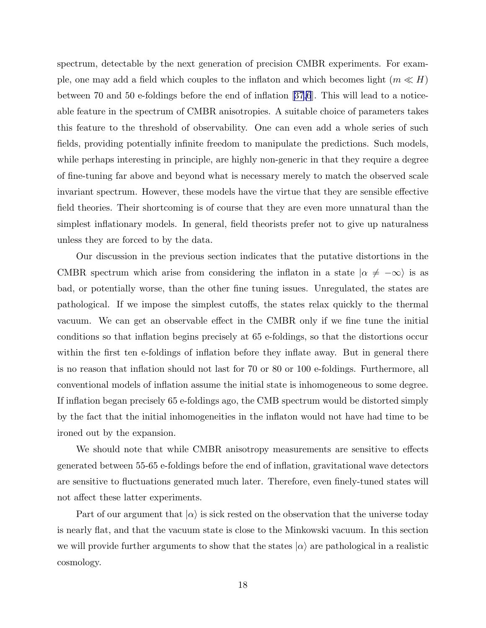spectrum, detectable by the next generation of precision CMBR experiments. For example, one may add a field which couples to the inflaton and which becomes light  $(m \ll H)$ between 70 and 50 e-foldings before the end of inflation[[37](#page-30-0)[,6](#page-28-0)]. This will lead to a noticeable feature in the spectrum of CMBR anisotropies. A suitable choice of parameters takes this feature to the threshold of observability. One can even add a whole series of such fields, providing potentially infinite freedom to manipulate the predictions. Such models, while perhaps interesting in principle, are highly non-generic in that they require a degree of fine-tuning far above and beyond what is necessary merely to match the observed scale invariant spectrum. However, these models have the virtue that they are sensible effective field theories. Their shortcoming is of course that they are even more unnatural than the simplest inflationary models. In general, field theorists prefer not to give up naturalness unless they are forced to by the data.

Our discussion in the previous section indicates that the putative distortions in the CMBR spectrum which arise from considering the inflaton in a state  $|\alpha \neq -\infty\rangle$  is as bad, or potentially worse, than the other fine tuning issues. Unregulated, the states are pathological. If we impose the simplest cutoffs, the states relax quickly to the thermal vacuum. We can get an observable effect in the CMBR only if we fine tune the initial conditions so that inflation begins precisely at 65 e-foldings, so that the distortions occur within the first ten e-foldings of inflation before they inflate away. But in general there is no reason that inflation should not last for 70 or 80 or 100 e-foldings. Furthermore, all conventional models of inflation assume the initial state is inhomogeneous to some degree. If inflation began precisely 65 e-foldings ago, the CMB spectrum would be distorted simply by the fact that the initial inhomogeneities in the inflaton would not have had time to be ironed out by the expansion.

We should note that while CMBR anisotropy measurements are sensitive to effects generated between 55-65 e-foldings before the end of inflation, gravitational wave detectors are sensitive to fluctuations generated much later. Therefore, even finely-tuned states will not affect these latter experiments.

Part of our argument that  $|\alpha\rangle$  is sick rested on the observation that the universe today is nearly flat, and that the vacuum state is close to the Minkowski vacuum. In this section we will provide further arguments to show that the states  $|\alpha\rangle$  are pathological in a realistic cosmology.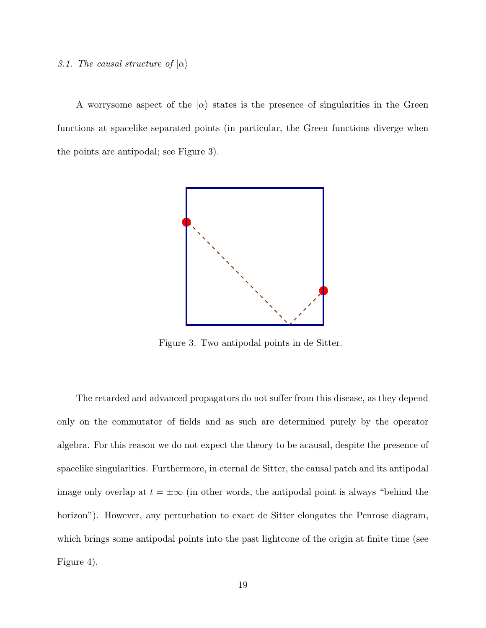# 3.1. The causal structure of  $|\alpha\rangle$

A worrysome aspect of the  $|\alpha\rangle$  states is the presence of singularities in the Green functions at spacelike separated points (in particular, the Green functions diverge when the points are antipodal; see Figure 3).



Figure 3. Two antipodal points in de Sitter.

The retarded and advanced propagators do not suffer from this disease, as they depend only on the commutator of fields and as such are determined purely by the operator algebra. For this reason we do not expect the theory to be acausal, despite the presence of spacelike singularities. Furthermore, in eternal de Sitter, the causal patch and its antipodal image only overlap at  $t = \pm \infty$  (in other words, the antipodal point is always "behind the horizon"). However, any perturbation to exact de Sitter elongates the Penrose diagram, which brings some antipodal points into the past lightcone of the origin at finite time (see Figure 4).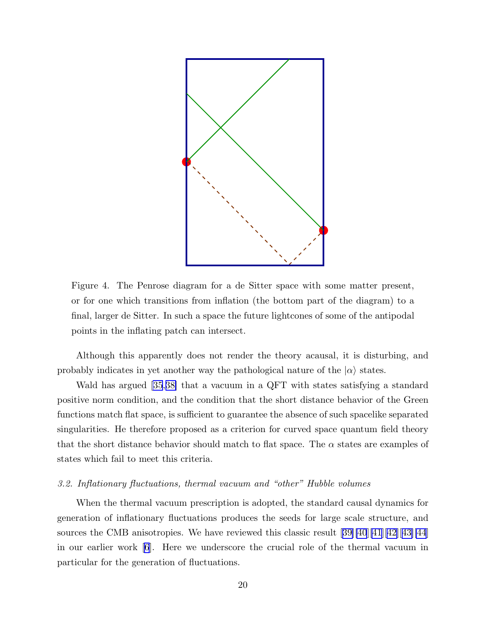

Figure 4. The Penrose diagram for a de Sitter space with some matter present, or for one which transitions from inflation (the bottom part of the diagram) to a final, larger de Sitter. In such a space the future lightcones of some of the antipodal points in the inflating patch can intersect.

Although this apparently does not render the theory acausal, it is disturbing, and probably indicates in yet another way the pathological nature of the  $|\alpha\rangle$  states.

Wald has argued [\[35](#page-30-0),[38\]](#page-30-0) that a vacuum in a QFT with states satisfying a standard positive norm condition, and the condition that the short distance behavior of the Green functions match flat space, is sufficient to guarantee the absence of such spacelike separated singularities. He therefore proposed as a criterion for curved space quantum field theory that the short distance behavior should match to flat space. The  $\alpha$  states are examples of states which fail to meet this criteria.

## 3.2. Inflationary fluctuations, thermal vacuum and "other" Hubble volumes

When the thermal vacuum prescription is adopted, the standard causal dynamics for generation of inflationary fluctuations produces the seeds for large scale structure, and sourcesthe CMB anisotropies. We have reviewed this classic result  $[39][40][41][42][43][44]$  $[39][40][41][42][43][44]$  $[39][40][41][42][43][44]$  $[39][40][41][42][43][44]$  $[39][40][41][42][43][44]$  $[39][40][41][42][43][44]$  $[39][40][41][42][43][44]$  $[39][40][41][42][43][44]$  $[39][40][41][42][43][44]$ in our earlier work [\[6](#page-28-0)]. Here we underscore the crucial role of the thermal vacuum in particular for the generation of fluctuations.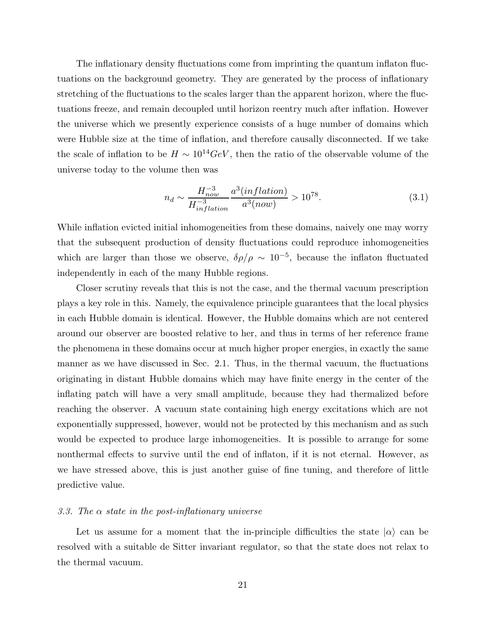The inflationary density fluctuations come from imprinting the quantum inflaton fluctuations on the background geometry. They are generated by the process of inflationary stretching of the fluctuations to the scales larger than the apparent horizon, where the fluctuations freeze, and remain decoupled until horizon reentry much after inflation. However the universe which we presently experience consists of a huge number of domains which were Hubble size at the time of inflation, and therefore causally disconnected. If we take the scale of inflation to be  $H \sim 10^{14} GeV$ , then the ratio of the observable volume of the universe today to the volume then was

$$
n_d \sim \frac{H_{now}^{-3}}{H_{inflation}^{-3}} \frac{a^3(inflation)}{a^3(now)} > 10^{78}.
$$
 (3.1)

While inflation evicted initial inhomogeneities from these domains, naively one may worry that the subsequent production of density fluctuations could reproduce inhomogeneities which are larger than those we observe,  $\delta\rho/\rho \sim 10^{-5}$ , because the inflaton fluctuated independently in each of the many Hubble regions.

Closer scrutiny reveals that this is not the case, and the thermal vacuum prescription plays a key role in this. Namely, the equivalence principle guarantees that the local physics in each Hubble domain is identical. However, the Hubble domains which are not centered around our observer are boosted relative to her, and thus in terms of her reference frame the phenomena in these domains occur at much higher proper energies, in exactly the same manner as we have discussed in Sec. 2.1. Thus, in the thermal vacuum, the fluctuations originating in distant Hubble domains which may have finite energy in the center of the inflating patch will have a very small amplitude, because they had thermalized before reaching the observer. A vacuum state containing high energy excitations which are not exponentially suppressed, however, would not be protected by this mechanism and as such would be expected to produce large inhomogeneities. It is possible to arrange for some nonthermal effects to survive until the end of inflaton, if it is not eternal. However, as we have stressed above, this is just another guise of fine tuning, and therefore of little predictive value.

## 3.3. The  $\alpha$  state in the post-inflationary universe

Let us assume for a moment that the in-principle difficulties the state  $|\alpha\rangle$  can be resolved with a suitable de Sitter invariant regulator, so that the state does not relax to the thermal vacuum.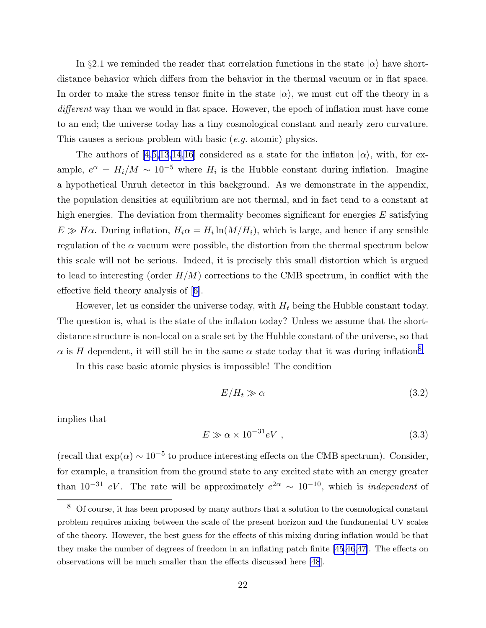In §2.1 we reminded the reader that correlation functions in the state  $|\alpha\rangle$  have shortdistance behavior which differs from the behavior in the thermal vacuum or in flat space. In order to make the stress tensor finite in the state  $|\alpha\rangle$ , we must cut off the theory in a different way than we would in flat space. However, the epoch of inflation must have come to an end; the universe today has a tiny cosmological constant and nearly zero curvature. This causes a serious problem with basic *(e.g. atomic)* physics.

The authors of [\[4](#page-28-0),[5,](#page-28-0)[13,14](#page-29-0),[16\]](#page-29-0) considered as a state for the inflaton  $|\alpha\rangle$ , with, for example,  $e^{\alpha} = H_i/M \sim 10^{-5}$  where  $H_i$  is the Hubble constant during inflation. Imagine a hypothetical Unruh detector in this background. As we demonstrate in the appendix, the population densities at equilibrium are not thermal, and in fact tend to a constant at high energies. The deviation from thermality becomes significant for energies  $E$  satisfying  $E \gg H\alpha$ . During inflation,  $H_i\alpha = H_i \ln(M/H_i)$ , which is large, and hence if any sensible regulation of the  $\alpha$  vacuum were possible, the distortion from the thermal spectrum below this scale will not be serious. Indeed, it is precisely this small distortion which is argued to lead to interesting (order  $H/M$ ) corrections to the CMB spectrum, in conflict with the effective field theory analysis of[[6\]](#page-28-0).

However, let us consider the universe today, with  $H_t$  being the Hubble constant today. The question is, what is the state of the inflaton today? Unless we assume that the shortdistance structure is non-local on a scale set by the Hubble constant of the universe, so that  $\alpha$  is H dependent, it will still be in the same  $\alpha$  state today that it was during inflation<sup>8</sup>.

In this case basic atomic physics is impossible! The condition

$$
E/H_t \gg \alpha \tag{3.2}
$$

implies that

$$
E \gg \alpha \times 10^{-31} eV , \qquad (3.3)
$$

(recall that  $\exp(\alpha) \sim 10^{-5}$  to produce interesting effects on the CMB spectrum). Consider, for example, a transition from the ground state to any excited state with an energy greater than 10<sup>-31</sup> eV. The rate will be approximately  $e^{2\alpha} \sim 10^{-10}$ , which is *independent* of

<sup>&</sup>lt;sup>8</sup> Of course, it has been proposed by many authors that a solution to the cosmological constant problem requires mixing between the scale of the present horizon and the fundamental UV scales of the theory. However, the best guess for the effects of this mixing during inflation would be that they make the number of degrees of freedom in an inflating patch finite [\[45,46,47\]](#page-31-0). The effects on observations will be much smaller than the effects discussed here [\[48](#page-31-0)].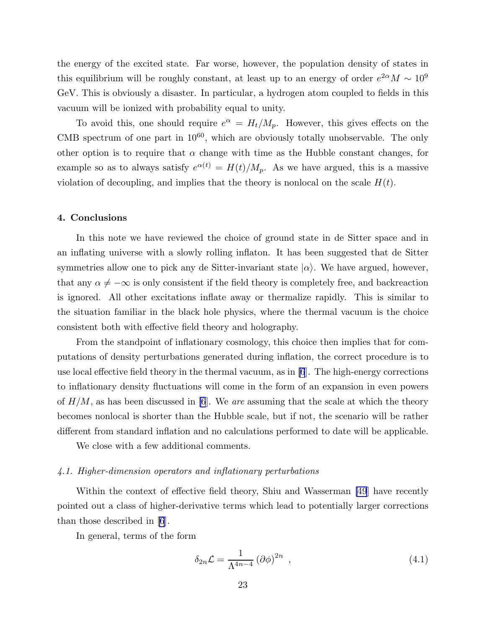<span id="page-23-0"></span>the energy of the excited state. Far worse, however, the population density of states in this equilibrium will be roughly constant, at least up to an energy of order  $e^{2\alpha}M \sim 10^9$ GeV. This is obviously a disaster. In particular, a hydrogen atom coupled to fields in this vacuum will be ionized with probability equal to unity.

To avoid this, one should require  $e^{\alpha} = H_t/M_p$ . However, this gives effects on the CMB spectrum of one part in  $10^{60}$ , which are obviously totally unobservable. The only other option is to require that  $\alpha$  change with time as the Hubble constant changes, for example so as to always satisfy  $e^{\alpha(t)} = H(t)/M_p$ . As we have argued, this is a massive violation of decoupling, and implies that the theory is nonlocal on the scale  $H(t)$ .

## 4. Conclusions

In this note we have reviewed the choice of ground state in de Sitter space and in an inflating universe with a slowly rolling inflaton. It has been suggested that de Sitter symmetries allow one to pick any de Sitter-invariant state  $|\alpha\rangle$ . We have argued, however, that any  $\alpha \neq -\infty$  is only consistent if the field theory is completely free, and backreaction is ignored. All other excitations inflate away or thermalize rapidly. This is similar to the situation familiar in the black hole physics, where the thermal vacuum is the choice consistent both with effective field theory and holography.

From the standpoint of inflationary cosmology, this choice then implies that for computations of density perturbations generated during inflation, the correct procedure is to use local effective field theory in the thermal vacuum, as in [\[6](#page-28-0)]. The high-energy corrections to inflationary density fluctuations will come in the form of an expansion in even powers of  $H/M$ , as has been discussed in [\[6](#page-28-0)]. We are assuming that the scale at which the theory becomes nonlocal is shorter than the Hubble scale, but if not, the scenario will be rather different from standard inflation and no calculations performed to date will be applicable.

We close with a few additional comments.

## 4.1. Higher-dimension operators and inflationary perturbations

Within the context of effective field theory, Shiu and Wasserman [\[49](#page-31-0)] have recently pointed out a class of higher-derivative terms which lead to potentially larger corrections than those described in [\[6](#page-28-0)].

In general, terms of the form

$$
\delta_{2n}\mathcal{L} = \frac{1}{\Lambda^{4n-4}} \left(\partial \phi\right)^{2n} , \qquad (4.1)
$$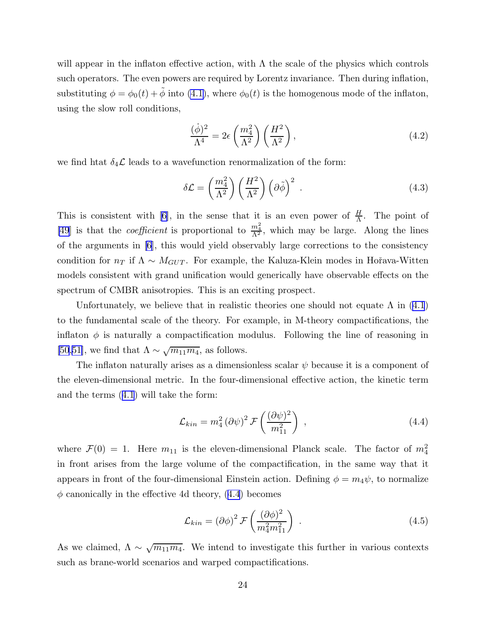will appear in the inflaton effective action, with  $\Lambda$  the scale of the physics which controls such operators. The even powers are required by Lorentz invariance. Then during inflation, substituting  $\phi = \phi_0(t) + \tilde{\phi}$  into [\(4.1\)](#page-23-0), where  $\phi_0(t)$  is the homogenous mode of the inflaton, using the slow roll conditions,

$$
\frac{(\dot{\phi})^2}{\Lambda^4} = 2\epsilon \left(\frac{m_4^2}{\Lambda^2}\right) \left(\frac{H^2}{\Lambda^2}\right),\tag{4.2}
$$

we find htat  $\delta_4 \mathcal{L}$  leads to a wavefunction renormalization of the form:

$$
\delta \mathcal{L} = \left(\frac{m_4^2}{\Lambda^2}\right) \left(\frac{H^2}{\Lambda^2}\right) \left(\partial \tilde{\phi}\right)^2 \,. \tag{4.3}
$$

Thisis consistent with [[6](#page-28-0)], in the sense that it is an even power of  $\frac{H}{\Lambda}$ . The point of [\[49](#page-31-0)] is that the *coefficient* is proportional to  $\frac{m_4^2}{\Lambda^2}$ , which may be large. Along the lines of the arguments in [\[6](#page-28-0)], this would yield observably large corrections to the consistency condition for  $n_T$  if  $\Lambda \sim M_{GUT}$ . For example, the Kaluza-Klein modes in Horava-Witten models consistent with grand unification would generically have observable effects on the spectrum of CMBR anisotropies. This is an exciting prospect.

Unfortunately, we believe that in realistic theories one should not equate  $\Lambda$  in [\(4.1](#page-23-0)) to the fundamental scale of the theory. For example, in M-theory compactifications, the inflaton  $\phi$  is naturally a compactification modulus. Following the line of reasoning in [\[50](#page-31-0),[51\]](#page-31-0), we find that  $\Lambda \sim \sqrt{m_{11}m_4}$ , as follows.

The inflaton naturally arises as a dimensionless scalar  $\psi$  because it is a component of the eleven-dimensional metric. In the four-dimensional effective action, the kinetic term and the terms([4.1](#page-23-0)) will take the form:

$$
\mathcal{L}_{kin} = m_4^2 \left(\partial \psi\right)^2 \mathcal{F}\left(\frac{(\partial \psi)^2}{m_{11}^2}\right) \,, \tag{4.4}
$$

where  $\mathcal{F}(0) = 1$ . Here  $m_{11}$  is the eleven-dimensional Planck scale. The factor of  $m_4^2$ in front arises from the large volume of the compactification, in the same way that it appears in front of the four-dimensional Einstein action. Defining  $\phi = m_4 \psi$ , to normalize  $\phi$  canonically in the effective 4d theory, (4.4) becomes

$$
\mathcal{L}_{kin} = (\partial \phi)^2 \mathcal{F}\left(\frac{(\partial \phi)^2}{m_4^2 m_{11}^2}\right) \tag{4.5}
$$

As we claimed,  $\Lambda \sim \sqrt{m_{11}m_4}$ . We intend to investigate this further in various contexts such as brane-world scenarios and warped compactifications.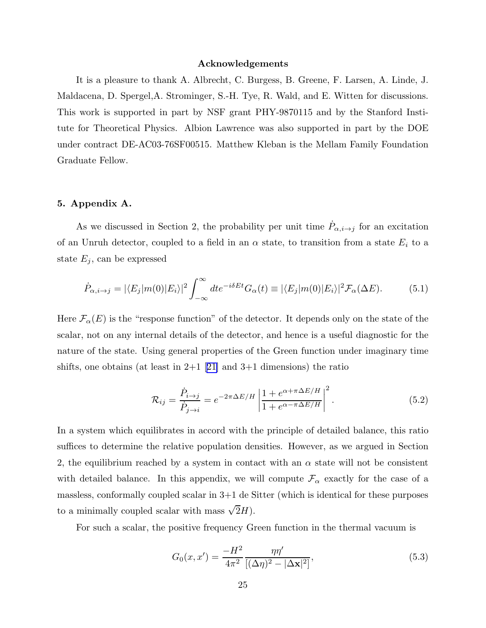#### Acknowledgements

<span id="page-25-0"></span>It is a pleasure to thank A. Albrecht, C. Burgess, B. Greene, F. Larsen, A. Linde, J. Maldacena, D. Spergel,A. Strominger, S.-H. Tye, R. Wald, and E. Witten for discussions. This work is supported in part by NSF grant PHY-9870115 and by the Stanford Institute for Theoretical Physics. Albion Lawrence was also supported in part by the DOE under contract DE-AC03-76SF00515. Matthew Kleban is the Mellam Family Foundation Graduate Fellow.

## 5. Appendix A.

As we discussed in Section 2, the probability per unit time  $\dot{P}_{\alpha,i\to j}$  for an excitation of an Unruh detector, coupled to a field in an  $\alpha$  state, to transition from a state  $E_i$  to a state  $E_j$ , can be expressed

$$
\dot{P}_{\alpha,i\to j} = |\langle E_j|m(0)|E_i\rangle|^2 \int_{-\infty}^{\infty} dt e^{-i\delta E t} G_{\alpha}(t) \equiv |\langle E_j|m(0)|E_i\rangle|^2 \mathcal{F}_{\alpha}(\Delta E). \tag{5.1}
$$

Here  $\mathcal{F}_{\alpha}(E)$  is the "response function" of the detector. It depends only on the state of the scalar, not on any internal details of the detector, and hence is a useful diagnostic for the nature of the state. Using general properties of the Green function under imaginary time shifts,one obtains (at least in  $2+1$  [[21\]](#page-29-0) and  $3+1$  dimensions) the ratio

$$
\mathcal{R}_{ij} = \frac{\dot{P}_{i \to j}}{\dot{P}_{j \to i}} = e^{-2\pi\Delta E/H} \left| \frac{1 + e^{\alpha + \pi\Delta E/H}}{1 + e^{\alpha - \pi\Delta E/H}} \right|^2.
$$
\n(5.2)

In a system which equilibrates in accord with the principle of detailed balance, this ratio suffices to determine the relative population densities. However, as we argued in Section 2, the equilibrium reached by a system in contact with an  $\alpha$  state will not be consistent with detailed balance. In this appendix, we will compute  $\mathcal{F}_{\alpha}$  exactly for the case of a massless, conformally coupled scalar in 3+1 de Sitter (which is identical for these purposes to a minimally coupled scalar with mass  $\sqrt{2}H$ ).

For such a scalar, the positive frequency Green function in the thermal vacuum is

$$
G_0(x, x') = \frac{-H^2}{4\pi^2} \frac{\eta \eta'}{[(\Delta \eta)^2 - |\Delta \mathbf{x}|^2]},
$$
\n(5.3)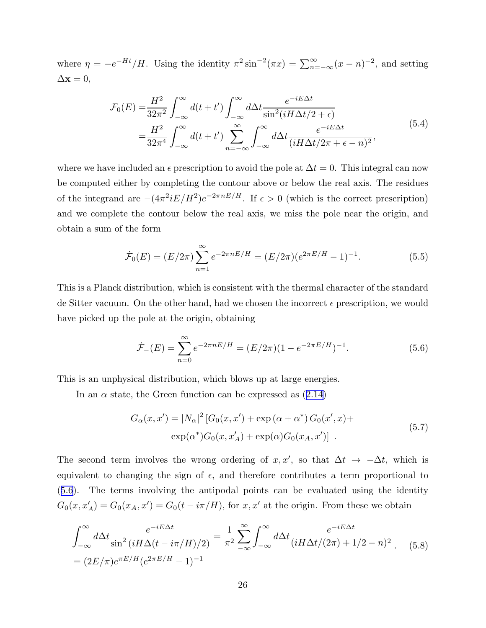<span id="page-26-0"></span>where  $\eta = -e^{-Ht}/H$ . Using the identity  $\pi^2 \sin^{-2}(\pi x) = \sum_{n=-\infty}^{\infty} (x-n)^{-2}$ , and setting  $\Delta \mathbf{x} = 0,$ 

$$
\mathcal{F}_0(E) = \frac{H^2}{32\pi^2} \int_{-\infty}^{\infty} d(t+t') \int_{-\infty}^{\infty} d\Delta t \frac{e^{-iE\Delta t}}{\sin^2(iH\Delta t/2 + \epsilon)}
$$
  
= 
$$
\frac{H^2}{32\pi^4} \int_{-\infty}^{\infty} d(t+t') \sum_{n=-\infty}^{\infty} \int_{-\infty}^{\infty} d\Delta t \frac{e^{-iE\Delta t}}{(iH\Delta t/2\pi + \epsilon - n)^2},
$$
(5.4)

where we have included an  $\epsilon$  prescription to avoid the pole at  $\Delta t = 0$ . This integral can now be computed either by completing the contour above or below the real axis. The residues of the integrand are  $-(4\pi^2 iE/H^2)e^{-2\pi nE/H}$ . If  $\epsilon > 0$  (which is the correct prescription) and we complete the contour below the real axis, we miss the pole near the origin, and obtain a sum of the form

$$
\dot{\mathcal{F}}_0(E) = (E/2\pi) \sum_{n=1}^{\infty} e^{-2\pi nE/H} = (E/2\pi)(e^{2\pi E/H} - 1)^{-1}.
$$
 (5.5)

This is a Planck distribution, which is consistent with the thermal character of the standard de Sitter vacuum. On the other hand, had we chosen the incorrect  $\epsilon$  prescription, we would have picked up the pole at the origin, obtaining

$$
\dot{\mathcal{F}}_{-}(E) = \sum_{n=0}^{\infty} e^{-2\pi nE/H} = (E/2\pi)(1 - e^{-2\pi E/H})^{-1}.
$$
 (5.6)

This is an unphysical distribution, which blows up at large energies.

Inan  $\alpha$  state, the Green function can be expressed as  $(2.14)$  $(2.14)$  $(2.14)$ 

$$
G_{\alpha}(x, x') = |N_{\alpha}|^2 [G_0(x, x') + \exp(\alpha + \alpha^*) G_0(x', x) +
$$
  
\n
$$
\exp(\alpha^*) G_0(x, x'_A) + \exp(\alpha) G_0(x_A, x')].
$$
\n(5.7)

The second term involves the wrong ordering of  $x, x'$ , so that  $\Delta t \rightarrow -\Delta t$ , which is equivalent to changing the sign of  $\epsilon$ , and therefore contributes a term proportional to (5.6). The terms involving the antipodal points can be evaluated using the identity  $G_0(x, x'_A) = G_0(x_A, x') = G_0(t - i\pi/H)$ , for  $x, x'$  at the origin. From these we obtain

$$
\int_{-\infty}^{\infty} d\Delta t \frac{e^{-iE\Delta t}}{\sin^2(iH\Delta(t - i\pi/H)/2)} = \frac{1}{\pi^2} \sum_{-\infty}^{\infty} \int_{-\infty}^{\infty} d\Delta t \frac{e^{-iE\Delta t}}{(iH\Delta t/(2\pi) + 1/2 - n)^2}.
$$
 (5.8)  
=  $(2E/\pi)e^{\pi E/H}(e^{2\pi E/H} - 1)^{-1}$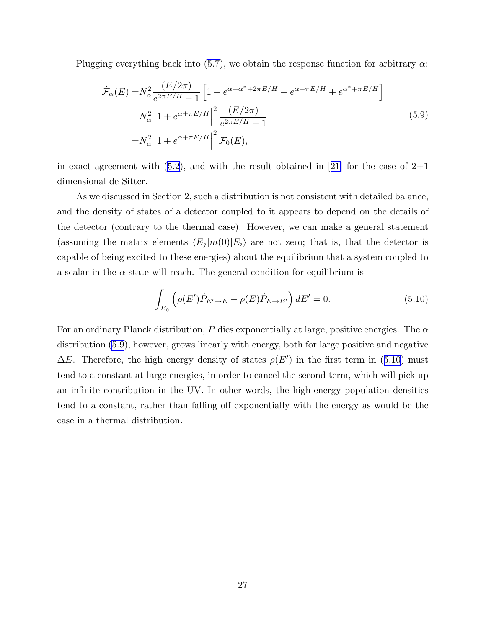Plugging everything back into  $(5.7)$ , we obtain the response function for arbitrary  $\alpha$ :

$$
\dot{\mathcal{F}}_{\alpha}(E) = N_{\alpha}^{2} \frac{(E/2\pi)}{e^{2\pi E/H} - 1} \left[ 1 + e^{\alpha + \alpha^{*} + 2\pi E/H} + e^{\alpha + \pi E/H} + e^{\alpha^{*} + \pi E/H} \right]
$$
\n
$$
= N_{\alpha}^{2} \left| 1 + e^{\alpha + \pi E/H} \right|^{2} \frac{(E/2\pi)}{e^{2\pi E/H} - 1}
$$
\n
$$
= N_{\alpha}^{2} \left| 1 + e^{\alpha + \pi E/H} \right|^{2} \mathcal{F}_{0}(E), \tag{5.9}
$$

inexact agreement with  $(5.2)$ , and with the result obtained in [[21\]](#page-29-0) for the case of  $2+1$ dimensional de Sitter.

As we discussed in Section 2, such a distribution is not consistent with detailed balance, and the density of states of a detector coupled to it appears to depend on the details of the detector (contrary to the thermal case). However, we can make a general statement (assuming the matrix elements  $\langle E_i | m(0) | E_i \rangle$  are not zero; that is, that the detector is capable of being excited to these energies) about the equilibrium that a system coupled to a scalar in the  $\alpha$  state will reach. The general condition for equilibrium is

$$
\int_{E_0} \left( \rho(E') \dot{P}_{E' \to E} - \rho(E) \dot{P}_{E \to E'} \right) dE' = 0.
$$
\n(5.10)

For an ordinary Planck distribution,  $\dot{P}$  dies exponentially at large, positive energies. The  $\alpha$ distribution (5.9), however, grows linearly with energy, both for large positive and negative  $\Delta E$ . Therefore, the high energy density of states  $\rho(E')$  in the first term in (5.10) must tend to a constant at large energies, in order to cancel the second term, which will pick up an infinite contribution in the UV. In other words, the high-energy population densities tend to a constant, rather than falling off exponentially with the energy as would be the case in a thermal distribution.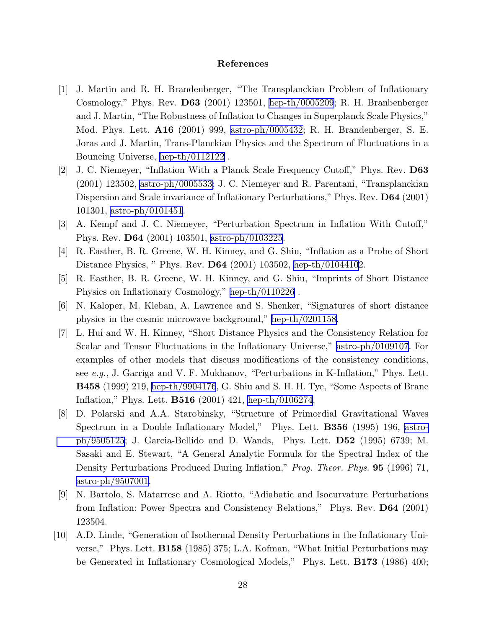## References

- <span id="page-28-0"></span>[1] J. Martin and R. H. Brandenberger, "The Transplanckian Problem of Inflationary Cosmology," Phys. Rev. D63 (2001) 123501, [hep-th/0005209;](http://arxiv.org/abs/hep-th/0005209) R. H. Branbenberger and J. Martin, "The Robustness of Inflation to Changes in Superplanck Scale Physics," Mod. Phys. Lett. A16 (2001) 999, [astro-ph/0005432;](http://arxiv.org/abs/astro-ph/0005432) R. H. Brandenberger, S. E. Joras and J. Martin, Trans-Planckian Physics and the Spectrum of Fluctuations in a Bouncing Universe, [hep-th/0112122](http://arxiv.org/abs/hep-th/0112122) .
- [2] J. C. Niemeyer, "Inflation With a Planck Scale Frequency Cutoff," Phys. Rev. D63 (2001) 123502, [astro-ph/0005533;](http://arxiv.org/abs/astro-ph/0005533) J. C. Niemeyer and R. Parentani, "Transplanckian Dispersion and Scale invariance of Inflationary Perturbations," Phys. Rev. D64 (2001) 101301, [astro-ph/0101451](http://arxiv.org/abs/astro-ph/0101451).
- [3] A. Kempf and J. C. Niemeyer, "Perturbation Spectrum in Inflation With Cutoff," Phys. Rev. D64 (2001) 103501, [astro-ph/0103225](http://arxiv.org/abs/astro-ph/0103225).
- [4] R. Easther, B. R. Greene, W. H. Kinney, and G. Shiu, "Inflation as a Probe of Short Distance Physics, " Phys. Rev. D64 (2001) 103502, [hep-th/01044102](http://arxiv.org/abs/hep-th/0104410).
- [5] R. Easther, B. R. Greene, W. H. Kinney, and G. Shiu, "Imprints of Short Distance Physics on Inflationary Cosmology," [hep-th/0110226](http://arxiv.org/abs/hep-th/0110226) .
- [6] N. Kaloper, M. Kleban, A. Lawrence and S. Shenker, "Signatures of short distance physics in the cosmic microwave background," [hep-th/0201158.](http://arxiv.org/abs/hep-th/0201158)
- [7] L. Hui and W. H. Kinney, "Short Distance Physics and the Consistency Relation for Scalar and Tensor Fluctuations in the Inflationary Universe," [astro-ph/0109107](http://arxiv.org/abs/astro-ph/0109107). For examples of other models that discuss modifications of the consistency conditions, see e.g., J. Garriga and V. F. Mukhanov, "Perturbations in K-Inflation," Phys. Lett. B458 (1999) 219, [hep-th/9904176](http://arxiv.org/abs/hep-th/9904176), G. Shiu and S. H. H. Tye, "Some Aspects of Brane Inflation," Phys. Lett. B516 (2001) 421, [hep-th/0106274](http://arxiv.org/abs/hep-th/0106274).
- [8] D. Polarski and A.A. Starobinsky, "Structure of Primordial Gravitational Waves Spectrum in a Double Inflationary Model," Phys. Lett. B356 (1995) 196, [astro](http://arxiv.org/abs/astro-ph/9505125)[ph/9505125](http://arxiv.org/abs/astro-ph/9505125); J. Garcia-Bellido and D. Wands, Phys. Lett. D52 (1995) 6739; M. Sasaki and E. Stewart, "A General Analytic Formula for the Spectral Index of the Density Perturbations Produced During Inflation," Prog. Theor. Phys. 95 (1996) 71, [astro-ph/9507001](http://arxiv.org/abs/astro-ph/9507001).
- [9] N. Bartolo, S. Matarrese and A. Riotto, "Adiabatic and Isocurvature Perturbations from Inflation: Power Spectra and Consistency Relations," Phys. Rev. D64 (2001) 123504.
- [10] A.D. Linde, "Generation of Isothermal Density Perturbations in the Inflationary Universe," Phys. Lett. B158 (1985) 375; L.A. Kofman, "What Initial Perturbations may be Generated in Inflationary Cosmological Models," Phys. Lett. **B173** (1986) 400;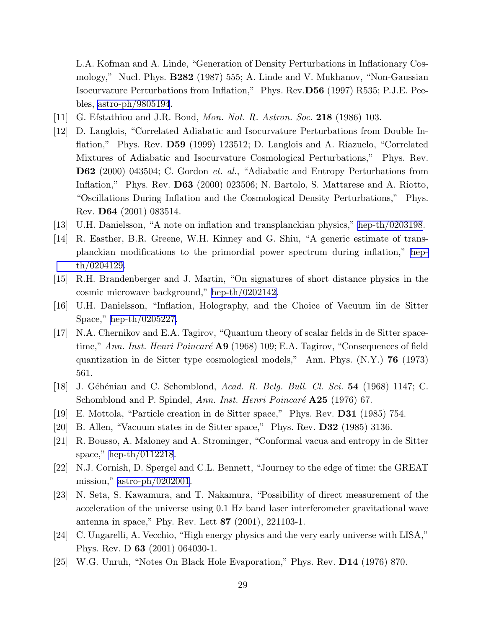<span id="page-29-0"></span>L.A. Kofman and A. Linde, "Generation of Density Perturbations in Inflationary Cosmology," Nucl. Phys. B282 (1987) 555; A. Linde and V. Mukhanov, "Non-Gaussian Isocurvature Perturbations from Inflation," Phys. Rev.D56 (1997) R535; P.J.E. Peebles, [astro-ph/9805194](http://arxiv.org/abs/astro-ph/9805194).

- [11] G. Efstathiou and J.R. Bond, Mon. Not. R. Astron. Soc. 218 (1986) 103.
- [12] D. Langlois, "Correlated Adiabatic and Isocurvature Perturbations from Double Inflation," Phys. Rev. D59 (1999) 123512; D. Langlois and A. Riazuelo, "Correlated Mixtures of Adiabatic and Isocurvature Cosmological Perturbations," Phys. Rev. D62 (2000) 043504; C. Gordon et. al., "Adiabatic and Entropy Perturbations from Inflation," Phys. Rev. **D63** (2000) 023506; N. Bartolo, S. Mattarese and A. Riotto, "Oscillations During Inflation and the Cosmological Density Perturbations," Phys. Rev. D64 (2001) 083514.
- [13] U.H. Danielsson, "A note on inflation and transplanckian physics," [hep-th/0203198.](http://arxiv.org/abs/hep-th/0203198)
- [14] R. Easther, B.R. Greene, W.H. Kinney and G. Shiu, "A generic estimate of transplanckian modifications to the primordial power spectrum during inflation," [hep](http://arxiv.org/abs/hep-th/0204129)[th/0204129](http://arxiv.org/abs/hep-th/0204129).
- [15] R.H. Brandenberger and J. Martin, "On signatures of short distance physics in the cosmic microwave background," [hep-th/0202142](http://arxiv.org/abs/hep-th/0202142).
- [16] U.H. Danielsson, "Inflation, Holography, and the Choice of Vacuum iin de Sitter Space," [hep-th/0205227.](http://arxiv.org/abs/hep-th/0205227)
- [17] N.A. Chernikov and E.A. Tagirov, "Quantum theory of scalar fields in de Sitter spacetime," Ann. Inst. Henri Poincaré A9 (1968) 109; E.A. Tagirov, "Consequences of field quantization in de Sitter type cosmological models," Ann. Phys. (N.Y.) 76 (1973) 561.
- [18] J. Géhéniau and C. Schomblond, Acad. R. Belg. Bull. Cl. Sci. 54 (1968) 1147; C. Schomblond and P. Spindel, Ann. Inst. Henri Poincaré  $A25$  (1976) 67.
- [19] E. Mottola, "Particle creation in de Sitter space," Phys. Rev. D31 (1985) 754.
- [20] B. Allen, "Vacuum states in de Sitter space," Phys. Rev. D32 (1985) 3136.
- [21] R. Bousso, A. Maloney and A. Strominger, "Conformal vacua and entropy in de Sitter space," [hep-th/0112218.](http://arxiv.org/abs/hep-th/0112218)
- [22] N.J. Cornish, D. Spergel and C.L. Bennett, "Journey to the edge of time: the GREAT mission," [astro-ph/0202001](http://arxiv.org/abs/astro-ph/0202001).
- [23] N. Seta, S. Kawamura, and T. Nakamura, "Possibility of direct measurement of the acceleration of the universe using 0.1 Hz band laser interferometer gravitational wave antenna in space," Phy. Rev. Lett 87 (2001), 221103-1.
- [24] C. Ungarelli, A. Vecchio, "High energy physics and the very early universe with LISA," Phys. Rev. D 63 (2001) 064030-1.
- [25] W.G. Unruh, "Notes On Black Hole Evaporation," Phys. Rev. D14 (1976) 870.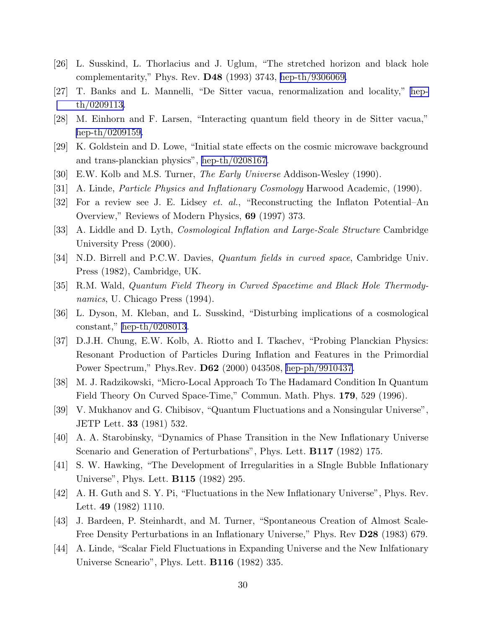- <span id="page-30-0"></span>[26] L. Susskind, L. Thorlacius and J. Uglum, "The stretched horizon and black hole complementarity," Phys. Rev. D48 (1993) 3743, [hep-th/9306069.](http://arxiv.org/abs/hep-th/9306069)
- [27] T. Banks and L. Mannelli, "De Sitter vacua, renormalization and locality," [hep](http://arxiv.org/abs/hep-th/0209113)[th/0209113](http://arxiv.org/abs/hep-th/0209113).
- [28] M. Einhorn and F. Larsen, "Interacting quantum field theory in de Sitter vacua," [hep-th/0209159.](http://arxiv.org/abs/hep-th/0209159)
- [29] K. Goldstein and D. Lowe, "Initial state effects on the cosmic microwave background and trans-planckian physics", [hep-th/0208167.](http://arxiv.org/abs/hep-th/0208167)
- [30] E.W. Kolb and M.S. Turner, *The Early Universe* Addison-Wesley (1990).
- [31] A. Linde, Particle Physics and Inflationary Cosmology Harwood Academic, (1990).
- [32] For a review see J. E. Lidsey et. al., "Reconstructing the Inflaton Potential–An Overview," Reviews of Modern Physics, 69 (1997) 373.
- [33] A. Liddle and D. Lyth, Cosmological Inflation and Large-Scale Structure Cambridge University Press (2000).
- [34] N.D. Birrell and P.C.W. Davies, *Quantum fields in curved space*, Cambridge Univ. Press (1982), Cambridge, UK.
- [35] R.M. Wald, Quantum Field Theory in Curved Spacetime and Black Hole Thermodynamics, U. Chicago Press (1994).
- [36] L. Dyson, M. Kleban, and L. Susskind, "Disturbing implications of a cosmological constant," [hep-th/0208013](http://arxiv.org/abs/hep-th/0208013).
- [37] D.J.H. Chung, E.W. Kolb, A. Riotto and I. Tkachev, "Probing Planckian Physics: Resonant Production of Particles During Inflation and Features in the Primordial Power Spectrum," Phys.Rev. **D62** (2000) 043508, [hep-ph/9910437.](http://arxiv.org/abs/hep-ph/9910437)
- [38] M. J. Radzikowski, "Micro-Local Approach To The Hadamard Condition In Quantum Field Theory On Curved Space-Time," Commun. Math. Phys. 179, 529 (1996).
- [39] V. Mukhanov and G. Chibisov, "Quantum Fluctuations and a Nonsingular Universe", JETP Lett. 33 (1981) 532.
- [40] A. A. Starobinsky, "Dynamics of Phase Transition in the New Inflationary Universe Scenario and Generation of Perturbations", Phys. Lett. **B117** (1982) 175.
- [41] S. W. Hawking, "The Development of Irregularities in a SIngle Bubble Inflationary Universe", Phys. Lett. B115 (1982) 295.
- [42] A. H. Guth and S. Y. Pi, "Fluctuations in the New Inflationary Universe", Phys. Rev. Lett. 49 (1982) 1110.
- [43] J. Bardeen, P. Steinhardt, and M. Turner, "Spontaneous Creation of Almost Scale-Free Density Perturbations in an Inflationary Universe," Phys. Rev D28 (1983) 679.
- [44] A. Linde, "Scalar Field Fluctuations in Expanding Universe and the New Inlfationary Universe Scneario", Phys. Lett. B116 (1982) 335.